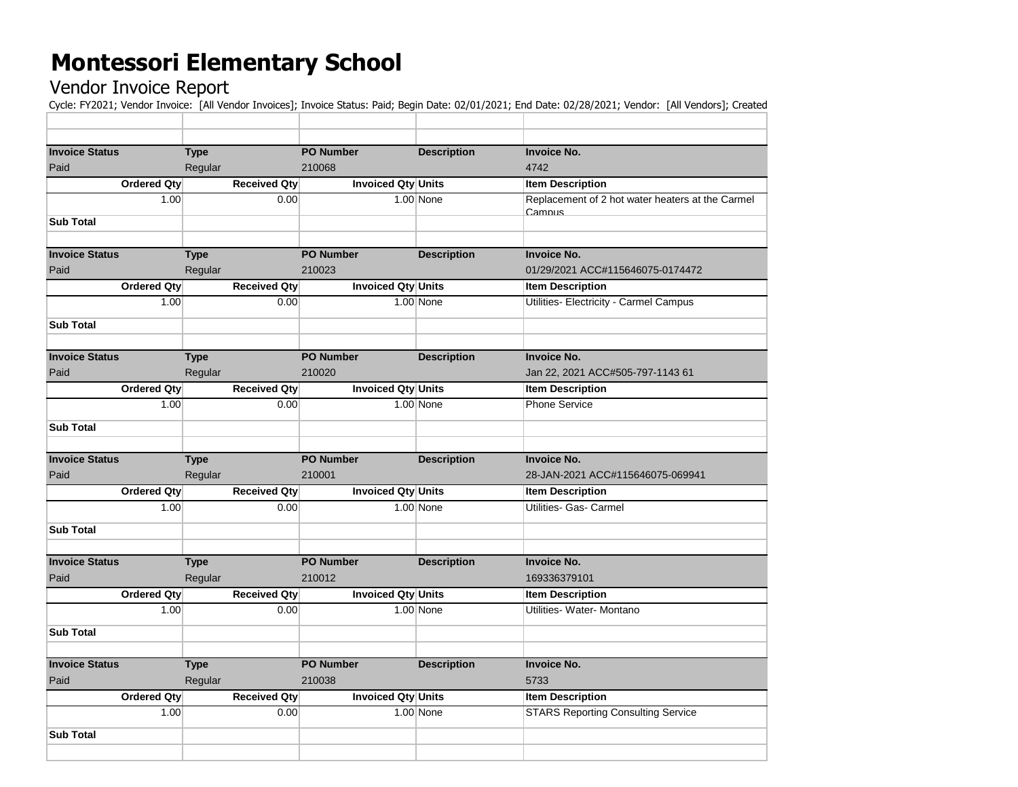## **Montessori Elementary School**

## Vendor Invoice Report

Cycle: FY2021; Vendor Invoice: [All Vendor Invoices]; Invoice Status: Paid; Begin Date: 02/01/2021; End Date: 02/28/2021; Vendor: [All Vendors]; Created

| <b>Invoice Status</b> | <b>Type</b>         | <b>PO Number</b>          | <b>Description</b> | <b>Invoice No.</b>                                         |
|-----------------------|---------------------|---------------------------|--------------------|------------------------------------------------------------|
| Paid                  | Regular             | 210068                    |                    | 4742                                                       |
| Ordered Qty           | <b>Received Qty</b> | <b>Invoiced Qty Units</b> |                    | <b>Item Description</b>                                    |
| 1.00                  | 0.00                |                           | 1.00 None          | Replacement of 2 hot water heaters at the Carmel<br>Campus |
| <b>Sub Total</b>      |                     |                           |                    |                                                            |
|                       |                     |                           |                    |                                                            |
| <b>Invoice Status</b> | <b>Type</b>         | <b>PO Number</b>          | <b>Description</b> | <b>Invoice No.</b>                                         |
| Paid                  | Regular             | 210023                    |                    | 01/29/2021 ACC#115646075-0174472                           |
| Ordered Qty           | <b>Received Qty</b> | <b>Invoiced Qty Units</b> |                    | <b>Item Description</b>                                    |
| 1.00                  | 0.00                |                           | $1.00$ None        | Utilities- Electricity - Carmel Campus                     |
| <b>Sub Total</b>      |                     |                           |                    |                                                            |
|                       |                     |                           |                    |                                                            |
| <b>Invoice Status</b> | <b>Type</b>         | <b>PO Number</b>          | <b>Description</b> | <b>Invoice No.</b>                                         |
| Paid                  | Regular             | 210020                    |                    | Jan 22, 2021 ACC#505-797-1143 61                           |
| Ordered Qty           | <b>Received Qty</b> | <b>Invoiced Qty Units</b> |                    | <b>Item Description</b>                                    |
| 1.00                  | 0.00                |                           | $1.00$ None        | <b>Phone Service</b>                                       |
| <b>Sub Total</b>      |                     |                           |                    |                                                            |
|                       |                     |                           |                    |                                                            |
| <b>Invoice Status</b> | <b>Type</b>         | <b>PO Number</b>          | <b>Description</b> | <b>Invoice No.</b>                                         |
| Paid                  | Regular             | 210001                    |                    | 28-JAN-2021 ACC#115646075-069941                           |
| Ordered Qty           | <b>Received Qty</b> | <b>Invoiced Qty Units</b> |                    | <b>Item Description</b>                                    |
| 1.00                  | 0.00                |                           | $1.00$ None        | Utilities- Gas- Carmel                                     |
|                       |                     |                           |                    |                                                            |
| <b>Sub Total</b>      |                     |                           |                    |                                                            |
|                       |                     |                           |                    |                                                            |
| <b>Invoice Status</b> | <b>Type</b>         | <b>PO Number</b>          | <b>Description</b> | <b>Invoice No.</b>                                         |
| Paid                  | Regular             | 210012                    |                    | 169336379101                                               |
| Ordered Qty           | <b>Received Qty</b> | Invoiced Qty Units        |                    | <b>Item Description</b>                                    |
| 1.00                  | 0.00                |                           | $1.00$ None        | Utilities- Water- Montano                                  |
| <b>Sub Total</b>      |                     |                           |                    |                                                            |
|                       |                     |                           |                    |                                                            |
| <b>Invoice Status</b> | <b>Type</b>         | <b>PO Number</b>          | <b>Description</b> | <b>Invoice No.</b>                                         |
| Paid                  | Regular             | 210038                    |                    | 5733                                                       |
| Ordered Qty           | <b>Received Qty</b> | <b>Invoiced Qty Units</b> |                    | <b>Item Description</b>                                    |
| 1.00                  | 0.00                |                           | 1.00 None          | <b>STARS Reporting Consulting Service</b>                  |
| <b>Sub Total</b>      |                     |                           |                    |                                                            |
|                       |                     |                           |                    |                                                            |
|                       |                     |                           |                    |                                                            |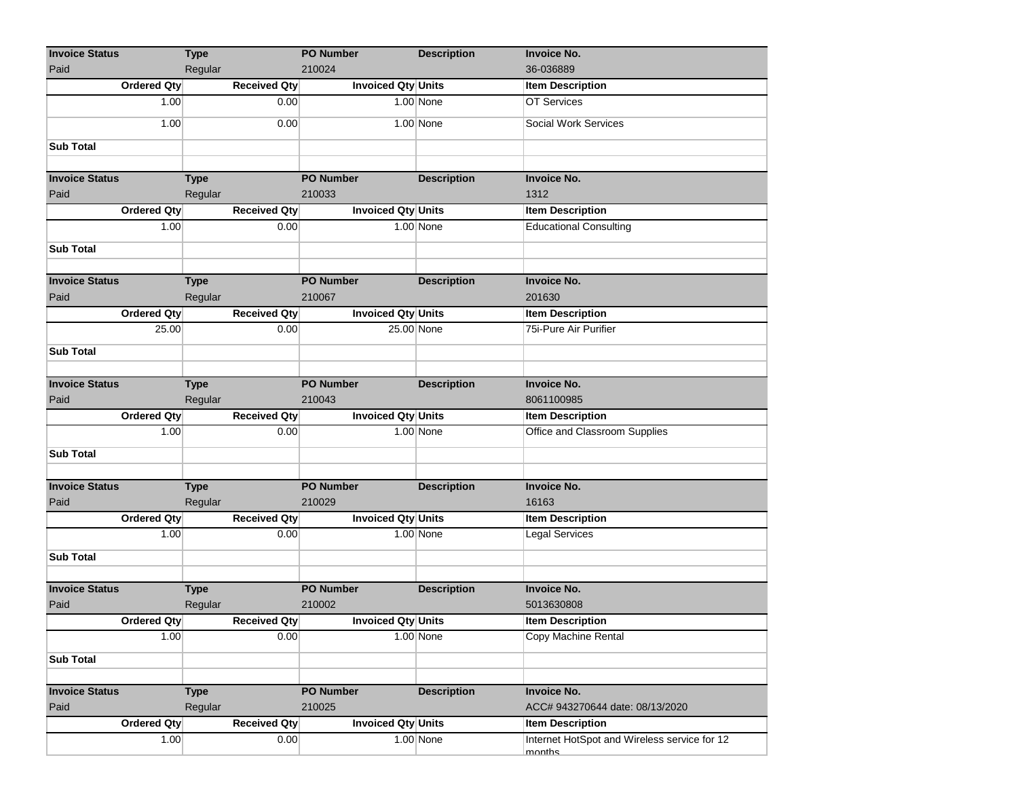| <b>Invoice Status</b>         | <b>Type</b>            |                             | <b>PO Number</b>           | <b>Description</b> | <b>Invoice No.</b>                               |
|-------------------------------|------------------------|-----------------------------|----------------------------|--------------------|--------------------------------------------------|
| Paid                          | Regular                |                             | 210024                     |                    | 36-036889                                        |
| Ordered Qty                   |                        | <b>Received Qty</b>         | Invoiced Qty Units         |                    | <b>Item Description</b>                          |
| 1.00                          |                        | 0.00                        |                            | $1.00$ None        | <b>OT Services</b>                               |
| 1.00                          |                        | 0.00                        |                            | $1.00$ None        | Social Work Services                             |
| <b>Sub Total</b>              |                        |                             |                            |                    |                                                  |
|                               |                        |                             | <b>PO Number</b>           |                    |                                                  |
| <b>Invoice Status</b>         | <b>Type</b>            |                             | 210033                     | <b>Description</b> | <b>Invoice No.</b>                               |
| Paid                          | Regular                |                             |                            |                    | 1312                                             |
| Ordered Qty<br>1.00           |                        | <b>Received Qty</b><br>0.00 | <b>Invoiced Qty Units</b>  | 1.00 None          | <b>Item Description</b>                          |
|                               |                        |                             |                            |                    | <b>Educational Consulting</b>                    |
| <b>Sub Total</b>              |                        |                             |                            |                    |                                                  |
|                               |                        |                             |                            |                    |                                                  |
| <b>Invoice Status</b>         | <b>Type</b>            |                             | <b>PO Number</b>           | <b>Description</b> | <b>Invoice No.</b>                               |
| Paid                          | Regular                |                             | 210067                     |                    | 201630                                           |
| Ordered Qty                   |                        | <b>Received Qty</b>         | Invoiced Qty Units         |                    | <b>Item Description</b>                          |
| 25.00                         |                        | 0.00                        | 25.00 None                 |                    | 75i-Pure Air Purifier                            |
| <b>Sub Total</b>              |                        |                             |                            |                    |                                                  |
|                               |                        |                             |                            |                    |                                                  |
| <b>Invoice Status</b>         | <b>Type</b>            |                             | <b>PO Number</b>           | <b>Description</b> | <b>Invoice No.</b>                               |
| Paid                          | Regular                |                             | 210043                     |                    | 8061100985                                       |
| <b>Ordered Qty</b>            |                        | Received Qty                | <b>Invoiced Qty Units</b>  |                    | <b>Item Description</b>                          |
| 1.00                          |                        | 0.00                        |                            | 1.00 None          | Office and Classroom Supplies                    |
|                               |                        |                             |                            |                    |                                                  |
| <b>Sub Total</b>              |                        |                             |                            |                    |                                                  |
|                               |                        |                             |                            |                    |                                                  |
| <b>Invoice Status</b><br>Paid | <b>Type</b><br>Regular |                             | <b>PO Number</b><br>210029 | <b>Description</b> | <b>Invoice No.</b><br>16163                      |
| <b>Ordered Qty</b>            |                        | <b>Received Qty</b>         | Invoiced Qty Units         |                    |                                                  |
| 1.00                          |                        | 0.00                        |                            | $1.00$ None        | <b>Item Description</b><br><b>Legal Services</b> |
|                               |                        |                             |                            |                    |                                                  |
| <b>Sub Total</b>              |                        |                             |                            |                    |                                                  |
|                               |                        |                             |                            |                    |                                                  |
| <b>Invoice Status</b>         | <b>Type</b>            |                             | <b>PO Number</b>           | <b>Description</b> | <b>Invoice No.</b>                               |
| Paid                          | Regular                |                             | 210002                     |                    | 5013630808                                       |
| <b>Ordered Qty</b>            |                        | <b>Received Qty</b>         | <b>Invoiced Qty Units</b>  |                    | <b>Item Description</b>                          |
| 1.00                          |                        | 0.00                        |                            | $1.00$ None        | Copy Machine Rental                              |
| <b>Sub Total</b>              |                        |                             |                            |                    |                                                  |
|                               |                        |                             |                            |                    |                                                  |
| <b>Invoice Status</b>         | <b>Type</b>            |                             | <b>PO Number</b>           | <b>Description</b> | <b>Invoice No.</b>                               |
| Paid                          | Regular                |                             | 210025                     |                    | ACC# 943270644 date: 08/13/2020                  |
| <b>Ordered Qty</b>            |                        | <b>Received Qty</b>         | Invoiced Qty Units         |                    | <b>Item Description</b>                          |
| 1.00                          |                        | 0.00                        |                            | 1.00 None          | Internet HotSpot and Wireless service for 12     |
|                               |                        |                             |                            |                    | months                                           |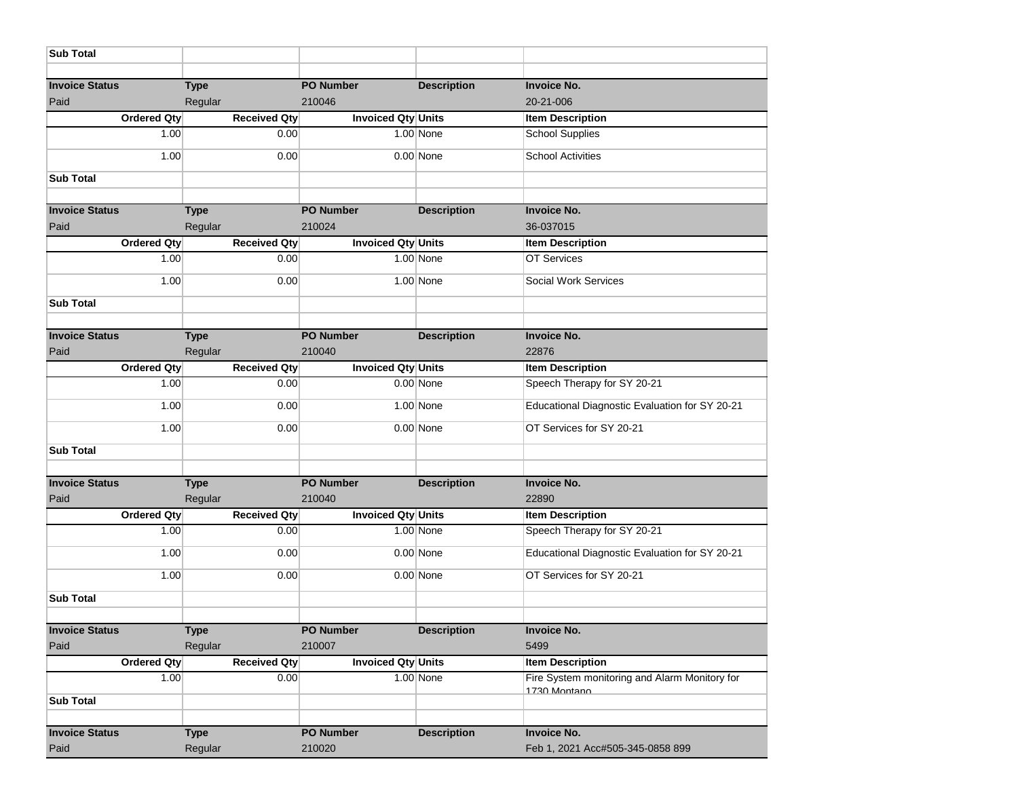| <b>Sub Total</b>              |                        |                            |                    |                                                               |
|-------------------------------|------------------------|----------------------------|--------------------|---------------------------------------------------------------|
|                               |                        |                            |                    |                                                               |
| <b>Invoice Status</b><br>Paid | <b>Type</b><br>Regular | <b>PO Number</b><br>210046 | <b>Description</b> | <b>Invoice No.</b><br>20-21-006                               |
| <b>Ordered Qty</b>            | <b>Received Qty</b>    | <b>Invoiced Qty Units</b>  |                    | <b>Item Description</b>                                       |
| 1.00                          | 0.00                   |                            | 1.00 None          | <b>School Supplies</b>                                        |
| 1.00                          | 0.00                   |                            | $0.00$ None        | <b>School Activities</b>                                      |
| <b>Sub Total</b>              |                        |                            |                    |                                                               |
| <b>Invoice Status</b>         |                        | <b>PO Number</b>           |                    | <b>Invoice No.</b>                                            |
| Paid                          | <b>Type</b><br>Regular | 210024                     | <b>Description</b> | 36-037015                                                     |
| <b>Ordered Qty</b>            | <b>Received Qty</b>    | <b>Invoiced Qty Units</b>  |                    | <b>Item Description</b>                                       |
| 1.00                          | 0.00                   |                            | 1.00 None          | OT Services                                                   |
| 1.00                          | 0.00                   |                            | 1.00 None          | Social Work Services                                          |
| <b>Sub Total</b>              |                        |                            |                    |                                                               |
| <b>Invoice Status</b>         |                        | <b>PO Number</b>           |                    |                                                               |
| Paid                          | <b>Type</b><br>Regular | 210040                     | <b>Description</b> | <b>Invoice No.</b><br>22876                                   |
| <b>Ordered Qty</b>            | <b>Received Qty</b>    | Invoiced Qty Units         |                    | <b>Item Description</b>                                       |
| 1.00                          | 0.00                   |                            | $0.00$ None        | Speech Therapy for SY 20-21                                   |
| 1.00                          | 0.00                   |                            | 1.00 None          | Educational Diagnostic Evaluation for SY 20-21                |
| 1.00                          | 0.00                   |                            | $0.00$ None        | OT Services for SY 20-21                                      |
| <b>Sub Total</b>              |                        |                            |                    |                                                               |
| <b>Invoice Status</b>         | <b>Type</b>            | <b>PO Number</b>           | <b>Description</b> | <b>Invoice No.</b>                                            |
| Paid                          | Regular                | 210040                     |                    | 22890                                                         |
| <b>Ordered Qty</b>            | <b>Received Qty</b>    | Invoiced Qty Units         |                    | <b>Item Description</b>                                       |
| 1.00                          | 0.00                   |                            | 1.00 None          | Speech Therapy for SY 20-21                                   |
| 1.00                          | 0.00                   |                            | $0.00$ None        | Educational Diagnostic Evaluation for SY 20-21                |
| 1.00                          | 0.00                   |                            | $0.00$ None        | OT Services for SY 20-21                                      |
| <b>Sub Total</b>              |                        |                            |                    |                                                               |
| <b>Invoice Status</b>         | <b>Type</b>            | <b>PO Number</b>           | <b>Description</b> | <b>Invoice No.</b>                                            |
| Paid                          | Regular                | 210007                     |                    | 5499                                                          |
| <b>Ordered Qty</b>            | <b>Received Qty</b>    | Invoiced Qty Units         |                    | <b>Item Description</b>                                       |
| 1.00                          | 0.00                   |                            | $1.00$ None        | Fire System monitoring and Alarm Monitory for<br>1730 Montano |
| <b>Sub Total</b>              |                        |                            |                    |                                                               |
| <b>Invoice Status</b>         | <b>Type</b>            | PO Number                  | <b>Description</b> | <b>Invoice No.</b>                                            |
| Paid                          | Regular                | 210020                     |                    | Feb 1, 2021 Acc#505-345-0858 899                              |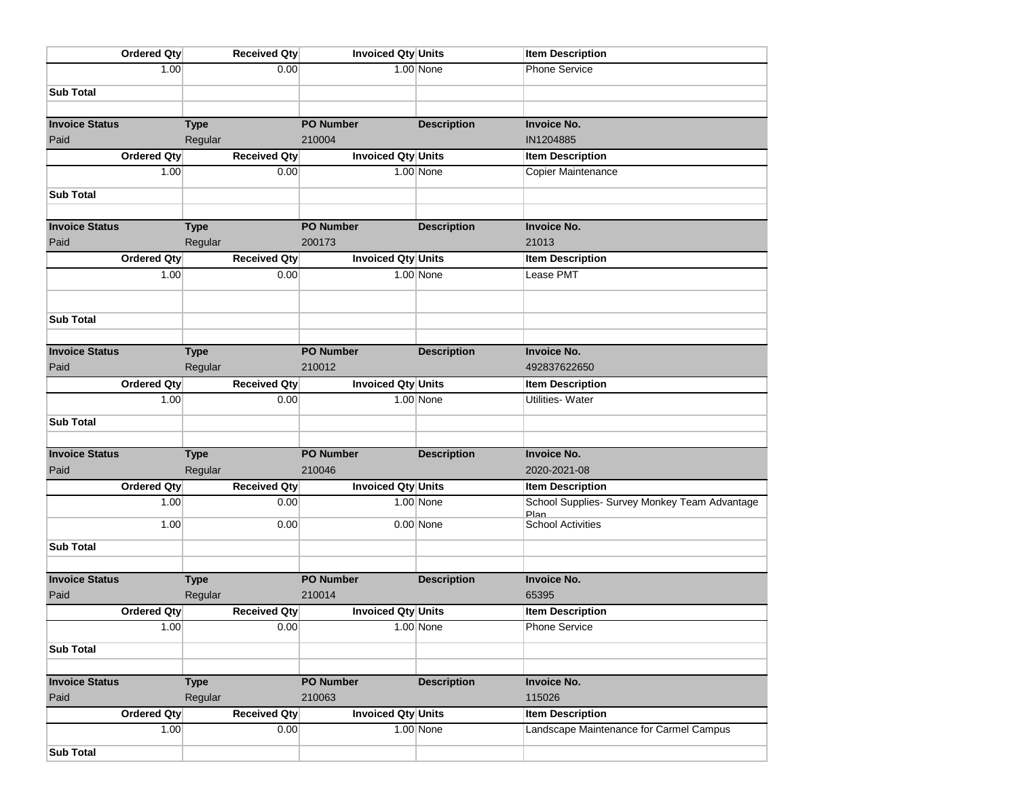| <b>Ordered Qty</b>         | <b>Received Qty</b>            | Invoiced Qty Units                  |                    | <b>Item Description</b>                         |
|----------------------------|--------------------------------|-------------------------------------|--------------------|-------------------------------------------------|
| 1.00                       | 0.00                           |                                     | 1.00 None          | <b>Phone Service</b>                            |
| <b>Sub Total</b>           |                                |                                     |                    |                                                 |
|                            |                                |                                     |                    |                                                 |
| <b>Invoice Status</b>      | <b>Type</b>                    | <b>PO Number</b>                    | <b>Description</b> | <b>Invoice No.</b>                              |
| Paid                       | Regular                        | 210004                              |                    | IN1204885                                       |
| <b>Ordered Qty</b>         | <b>Received Qty</b>            | Invoiced Qty Units                  |                    | <b>Item Description</b>                         |
| 1.00                       | 0.00                           |                                     | $1.00$ None        | Copier Maintenance                              |
| <b>Sub Total</b>           |                                |                                     |                    |                                                 |
|                            |                                |                                     |                    |                                                 |
| <b>Invoice Status</b>      | <b>Type</b>                    | <b>PO Number</b>                    | <b>Description</b> | <b>Invoice No.</b>                              |
| Paid                       | Regular                        | 200173                              |                    | 21013                                           |
| <b>Ordered Qty</b>         | <b>Received Qty</b>            | Invoiced Qty Units                  |                    | <b>Item Description</b>                         |
| 1.00                       | 0.00                           |                                     | $1.00$ None        | Lease PMT                                       |
|                            |                                |                                     |                    |                                                 |
|                            |                                |                                     |                    |                                                 |
| <b>Sub Total</b>           |                                |                                     |                    |                                                 |
| <b>Invoice Status</b>      | <b>Type</b>                    | <b>PO Number</b>                    | <b>Description</b> | <b>Invoice No.</b>                              |
| Paid                       | Regular                        | 210012                              |                    | 492837622650                                    |
| <b>Ordered Qty</b>         | <b>Received Qty</b>            | <b>Invoiced Qty Units</b>           |                    | <b>Item Description</b>                         |
| 1.00                       | 0.00                           |                                     | $1.00$ None        | <b>Utilities-Water</b>                          |
|                            |                                |                                     |                    |                                                 |
| <b>Sub Total</b>           |                                |                                     |                    |                                                 |
| <b>Invoice Status</b>      | <b>Type</b>                    | <b>PO Number</b>                    | <b>Description</b> | <b>Invoice No.</b>                              |
| Paid                       | Regular                        | 210046                              |                    | 2020-2021-08                                    |
| <b>Ordered Qty</b>         | <b>Received Qty</b>            | Invoiced Qty Units                  |                    | <b>Item Description</b>                         |
| 1.00                       | 0.00                           |                                     | $1.00$ None        | School Supplies- Survey Monkey Team Advantage   |
| 1.00                       | 0.00                           |                                     | $0.00$ None        | <b>Plan</b><br><b>School Activities</b>         |
|                            |                                |                                     |                    |                                                 |
| <b>Sub Total</b>           |                                |                                     |                    |                                                 |
|                            |                                |                                     |                    |                                                 |
| <b>Invoice Status</b>      | <b>Type</b>                    | <b>PO Number</b>                    | <b>Description</b> | <b>Invoice No.</b>                              |
| Paid<br>Ordered Qty        | Regular<br><b>Received Qty</b> | 210014<br><b>Invoiced Qty Units</b> |                    | 65395                                           |
| 1.00                       | 0.00                           |                                     | $1.00$ None        | <b>Item Description</b><br><b>Phone Service</b> |
|                            |                                |                                     |                    |                                                 |
| <b>Sub Total</b>           |                                |                                     |                    |                                                 |
|                            |                                |                                     |                    |                                                 |
| <b>Invoice Status</b>      | <b>Type</b>                    | <b>PO Number</b>                    | <b>Description</b> | <b>Invoice No.</b>                              |
| Paid<br><b>Ordered Qty</b> | Regular<br><b>Received Qty</b> | 210063<br><b>Invoiced Qty Units</b> |                    | 115026<br><b>Item Description</b>               |
| 1.00                       | 0.00                           |                                     | $1.00$ None        | Landscape Maintenance for Carmel Campus         |
|                            |                                |                                     |                    |                                                 |
| <b>Sub Total</b>           |                                |                                     |                    |                                                 |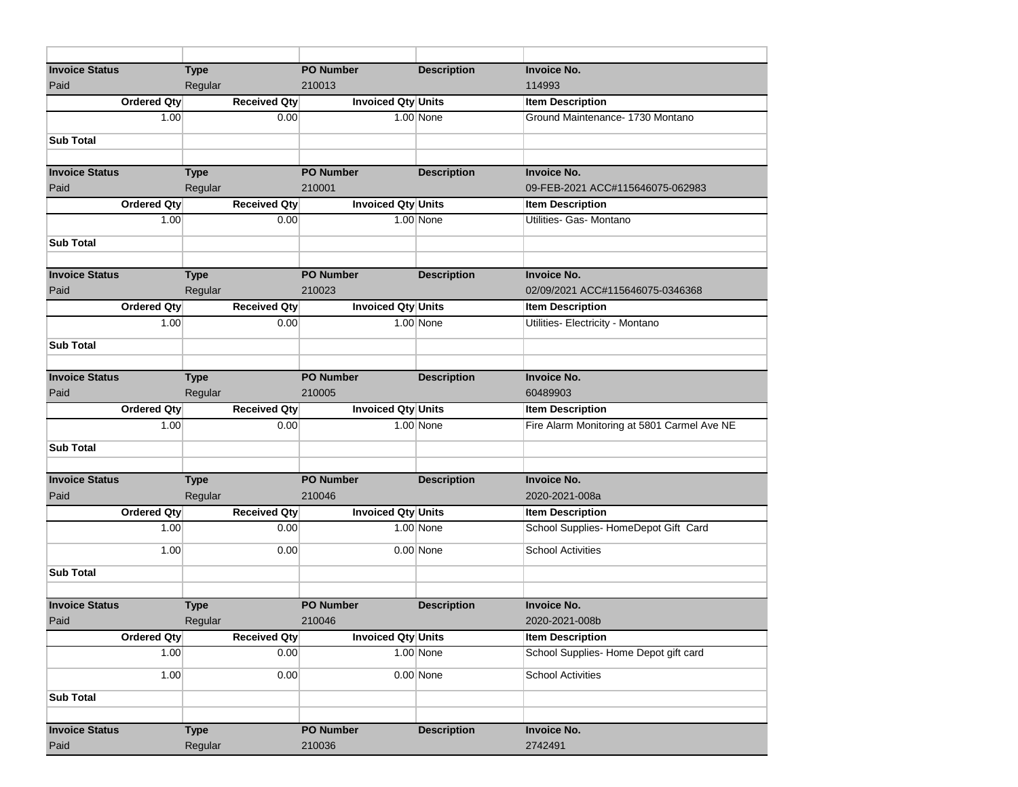| <b>Invoice Status</b> | <b>Type</b>         | <b>PO Number</b>          | <b>Description</b> | <b>Invoice No.</b>                          |
|-----------------------|---------------------|---------------------------|--------------------|---------------------------------------------|
| Paid                  | Regular             | 210013                    |                    | 114993                                      |
| <b>Ordered Qty</b>    | <b>Received Qty</b> | Invoiced Qty Units        |                    | <b>Item Description</b>                     |
| 1.00                  | 0.00                |                           | 1.00 None          | Ground Maintenance- 1730 Montano            |
| <b>Sub Total</b>      |                     |                           |                    |                                             |
|                       |                     |                           |                    |                                             |
| <b>Invoice Status</b> | <b>Type</b>         | <b>PO Number</b>          | <b>Description</b> | <b>Invoice No.</b>                          |
| Paid                  | Regular             | 210001                    |                    | 09-FEB-2021 ACC#115646075-062983            |
| <b>Ordered Qty</b>    | <b>Received Qty</b> | Invoiced Qty Units        |                    | <b>Item Description</b>                     |
| 1.00                  | 0.00                |                           | 1.00 None          | Utilities- Gas- Montano                     |
| <b>Sub Total</b>      |                     |                           |                    |                                             |
|                       |                     |                           |                    |                                             |
| <b>Invoice Status</b> | <b>Type</b>         | <b>PO Number</b>          | <b>Description</b> | <b>Invoice No.</b>                          |
| Paid                  | Regular             | 210023                    |                    | 02/09/2021 ACC#115646075-0346368            |
| <b>Ordered Qty</b>    | <b>Received Qty</b> | Invoiced Qty Units        |                    | <b>Item Description</b>                     |
| 1.00                  | 0.00                |                           | 1.00 None          | Utilities- Electricity - Montano            |
| <b>Sub Total</b>      |                     |                           |                    |                                             |
|                       |                     |                           |                    |                                             |
| <b>Invoice Status</b> | <b>Type</b>         | <b>PO Number</b>          | <b>Description</b> | <b>Invoice No.</b>                          |
| Paid                  | Regular             | 210005                    |                    | 60489903                                    |
| <b>Ordered Qty</b>    | <b>Received Qty</b> | <b>Invoiced Qty Units</b> |                    | <b>Item Description</b>                     |
| 1.00                  | 0.00                |                           | 1.00 None          | Fire Alarm Monitoring at 5801 Carmel Ave NE |
| <b>Sub Total</b>      |                     |                           |                    |                                             |
|                       |                     |                           |                    |                                             |
| <b>Invoice Status</b> | <b>Type</b>         | <b>PO Number</b>          | <b>Description</b> | <b>Invoice No.</b>                          |
| Paid                  | Regular             | 210046                    |                    | 2020-2021-008a                              |
| <b>Ordered Qty</b>    | <b>Received Qty</b> | Invoiced Qty Units        |                    | <b>Item Description</b>                     |
| 1.00                  | 0.00                |                           | $1.00$ None        | School Supplies-HomeDepot Gift Card         |
| 1.00                  | 0.00                |                           | $0.00$ None        | <b>School Activities</b>                    |
| <b>Sub Total</b>      |                     |                           |                    |                                             |
|                       |                     |                           |                    |                                             |
| <b>Invoice Status</b> | <b>Type</b>         | <b>PO Number</b>          | <b>Description</b> | <b>Invoice No.</b>                          |
| Paid                  | Regular             | 210046                    |                    | 2020-2021-008b                              |
| Ordered Qty           | <b>Received Qty</b> | <b>Invoiced Qty Units</b> |                    | <b>Item Description</b>                     |
| 1.00                  | 0.00                |                           | 1.00 None          | School Supplies-Home Depot gift card        |
| 1.00                  | 0.00                |                           | $0.00$ None        | <b>School Activities</b>                    |
|                       |                     |                           |                    |                                             |
| <b>Sub Total</b>      |                     |                           |                    |                                             |
|                       |                     |                           |                    |                                             |
| <b>Invoice Status</b> | <b>Type</b>         | <b>PO Number</b>          | <b>Description</b> | <b>Invoice No.</b>                          |
| Paid                  | Regular             | 210036                    |                    | 2742491                                     |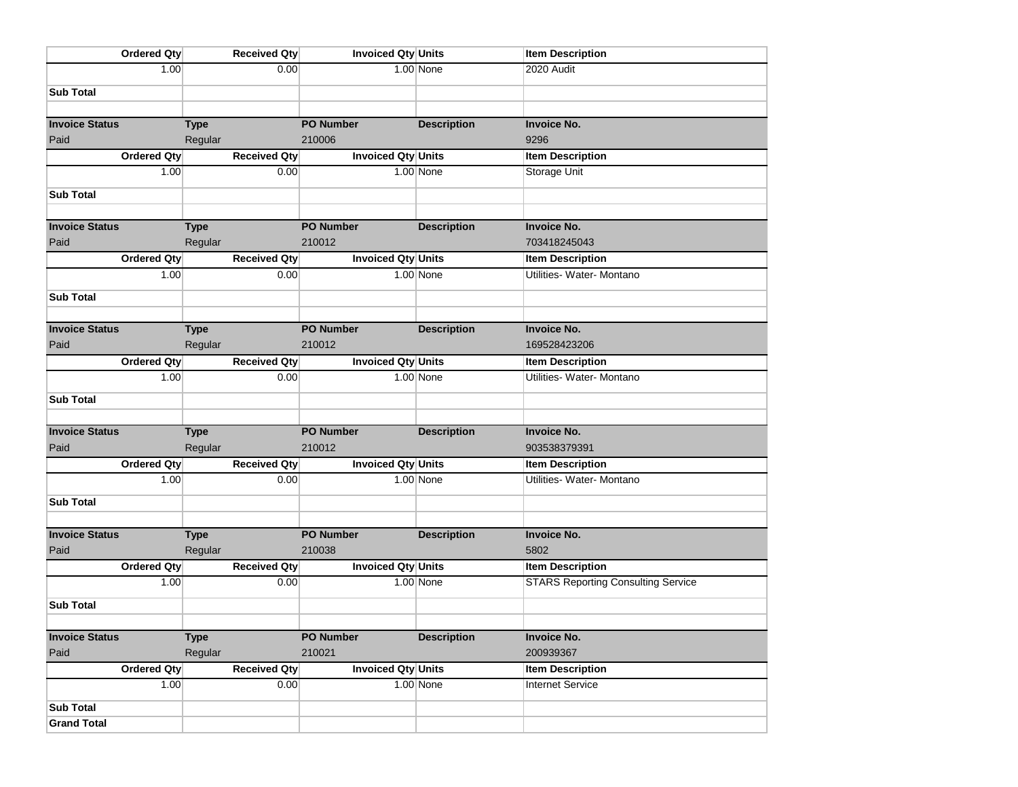| Ordered Qty           | <b>Received Qty</b> | Invoiced Qty Units        |                    | <b>Item Description</b>                   |
|-----------------------|---------------------|---------------------------|--------------------|-------------------------------------------|
| 1.00                  | 0.00                |                           | 1.00 None          | 2020 Audit                                |
| <b>Sub Total</b>      |                     |                           |                    |                                           |
|                       |                     |                           |                    |                                           |
| <b>Invoice Status</b> | <b>Type</b>         | <b>PO Number</b>          | <b>Description</b> | <b>Invoice No.</b>                        |
| Paid                  | Regular             | 210006                    |                    | 9296                                      |
| Ordered Qty           | <b>Received Qty</b> | <b>Invoiced Qty Units</b> |                    | <b>Item Description</b>                   |
| 1.00                  | 0.00                |                           | 1.00 None          | Storage Unit                              |
| <b>Sub Total</b>      |                     |                           |                    |                                           |
|                       |                     |                           |                    |                                           |
| <b>Invoice Status</b> | <b>Type</b>         | <b>PO Number</b>          | <b>Description</b> | <b>Invoice No.</b>                        |
| Paid                  | Regular             | 210012                    |                    | 703418245043                              |
| Ordered Qty           | <b>Received Qty</b> | Invoiced Qty Units        |                    | <b>Item Description</b>                   |
| 1.00                  | 0.00                |                           | 1.00 None          | Utilities- Water- Montano                 |
| <b>Sub Total</b>      |                     |                           |                    |                                           |
|                       |                     |                           |                    |                                           |
| <b>Invoice Status</b> | <b>Type</b>         | <b>PO Number</b>          | <b>Description</b> | <b>Invoice No.</b>                        |
| Paid                  | Regular             | 210012                    |                    | 169528423206                              |
| Ordered Qty           | <b>Received Qty</b> | Invoiced Qty Units        |                    | <b>Item Description</b>                   |
| 1.00                  | 0.00                |                           | 1.00 None          | Utilities- Water- Montano                 |
| <b>Sub Total</b>      |                     |                           |                    |                                           |
|                       |                     |                           |                    |                                           |
| <b>Invoice Status</b> | <b>Type</b>         | <b>PO Number</b>          | <b>Description</b> | <b>Invoice No.</b>                        |
| Paid                  | Regular             | 210012                    |                    | 903538379391                              |
| Ordered Qty           | <b>Received Qty</b> | Invoiced Qty Units        |                    | <b>Item Description</b>                   |
| 1.00                  | 0.00                |                           | 1.00 None          | Utilities- Water- Montano                 |
| <b>Sub Total</b>      |                     |                           |                    |                                           |
|                       |                     |                           |                    |                                           |
| <b>Invoice Status</b> | <b>Type</b>         | <b>PO Number</b>          | <b>Description</b> | <b>Invoice No.</b>                        |
| Paid                  | Regular             | 210038                    |                    | 5802                                      |
| Ordered Qty           | <b>Received Qty</b> | Invoiced Qty Units        |                    | <b>Item Description</b>                   |
| 1.00                  | 0.00                |                           | 1.00 None          | <b>STARS Reporting Consulting Service</b> |
| <b>Sub Total</b>      |                     |                           |                    |                                           |
|                       |                     |                           |                    |                                           |
| <b>Invoice Status</b> | <b>Type</b>         | PO Number                 | <b>Description</b> | <b>Invoice No.</b>                        |
| Paid                  | Regular             | 210021                    |                    | 200939367                                 |
| Ordered Qty           | <b>Received Qty</b> | <b>Invoiced Qty Units</b> |                    | <b>Item Description</b>                   |
| 1.00                  | 0.00                |                           | 1.00 None          | <b>Internet Service</b>                   |
| <b>Sub Total</b>      |                     |                           |                    |                                           |
| <b>Grand Total</b>    |                     |                           |                    |                                           |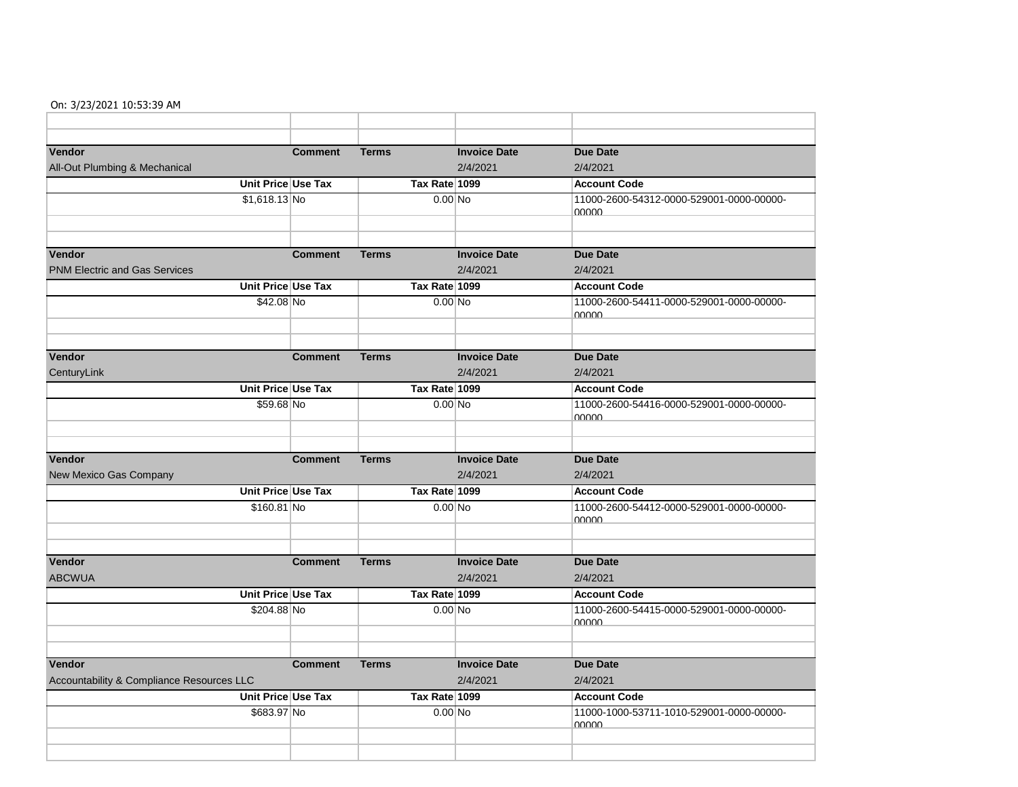## On: 3/23/2021 10:53:39 AM

| Vendor                                    | <b>Comment</b> | <b>Terms</b>  | <b>Invoice Date</b> | <b>Due Date</b>                                   |
|-------------------------------------------|----------------|---------------|---------------------|---------------------------------------------------|
| All-Out Plumbing & Mechanical             |                |               | 2/4/2021            | 2/4/2021                                          |
| Unit Price Use Tax                        |                | Tax Rate 1099 |                     | <b>Account Code</b>                               |
| $$1,618.13$ No                            |                | $0.00$ No     |                     | 11000-2600-54312-0000-529001-0000-00000-<br>00000 |
|                                           |                |               |                     |                                                   |
|                                           |                |               |                     |                                                   |
| Vendor                                    | <b>Comment</b> | <b>Terms</b>  | <b>Invoice Date</b> | <b>Due Date</b>                                   |
| <b>PNM Electric and Gas Services</b>      |                |               | 2/4/2021            | 2/4/2021                                          |
| Unit Price Use Tax                        |                | Tax Rate 1099 |                     | <b>Account Code</b>                               |
| \$42.08 No                                |                | $0.00$ No     |                     | 11000-2600-54411-0000-529001-0000-00000-<br>nnnn  |
|                                           |                |               |                     |                                                   |
|                                           |                |               |                     |                                                   |
| Vendor                                    | <b>Comment</b> | <b>Terms</b>  | <b>Invoice Date</b> | <b>Due Date</b>                                   |
| CenturyLink                               |                |               | 2/4/2021            | 2/4/2021                                          |
| Unit Price Use Tax                        |                | Tax Rate 1099 |                     | <b>Account Code</b>                               |
| \$59.68 No                                |                | $0.00$ No     |                     | 11000-2600-54416-0000-529001-0000-00000-<br>nnnn  |
|                                           |                |               |                     |                                                   |
|                                           |                |               |                     |                                                   |
| <b>Vendor</b>                             | <b>Comment</b> | <b>Terms</b>  | <b>Invoice Date</b> | <b>Due Date</b>                                   |
| New Mexico Gas Company                    |                |               | 2/4/2021            | 2/4/2021                                          |
| Unit Price Use Tax                        |                | Tax Rate 1099 |                     | <b>Account Code</b>                               |
| \$160.81 No                               |                | $0.00$ No     |                     | 11000-2600-54412-0000-529001-0000-00000-<br>00000 |
|                                           |                |               |                     |                                                   |
|                                           |                |               |                     |                                                   |
| Vendor                                    | <b>Comment</b> | <b>Terms</b>  | <b>Invoice Date</b> | <b>Due Date</b>                                   |
| <b>ABCWUA</b>                             |                |               | 2/4/2021            | 2/4/2021                                          |
| Unit Price Use Tax                        |                | Tax Rate 1099 |                     | <b>Account Code</b>                               |
| \$204.88 No                               |                | $0.00$ No     |                     | 11000-2600-54415-0000-529001-0000-00000-<br>00000 |
|                                           |                |               |                     |                                                   |
| Vendor                                    | <b>Comment</b> | <b>Terms</b>  | <b>Invoice Date</b> | <b>Due Date</b>                                   |
| Accountability & Compliance Resources LLC |                |               | 2/4/2021            | 2/4/2021                                          |
| Unit Price Use Tax                        |                | Tax Rate 1099 |                     | <b>Account Code</b>                               |
| \$683.97 No                               |                | $0.00$ No     |                     | 11000-1000-53711-1010-529001-0000-00000-<br>00000 |
|                                           |                |               |                     |                                                   |
|                                           |                |               |                     |                                                   |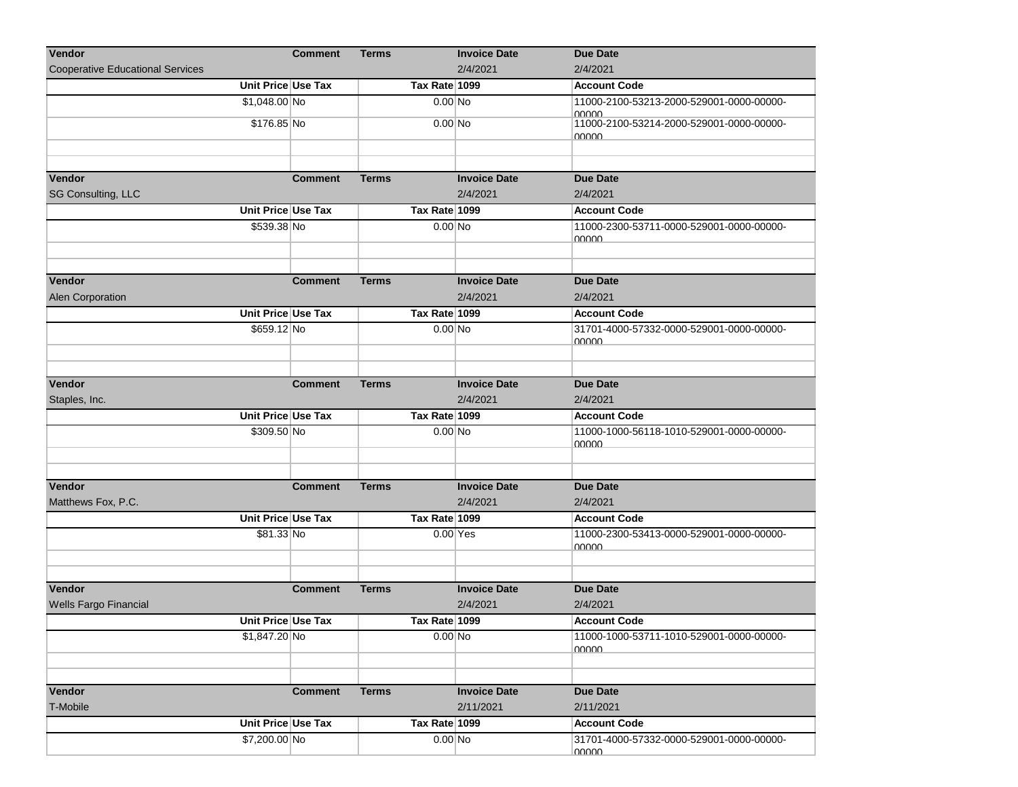| 2/4/2021<br><b>Cooperative Educational Services</b><br>2/4/2021<br>Unit Price Use Tax<br>Tax Rate 1099<br><b>Account Code</b><br>\$1,048.00 No<br>$0.00$ No<br>11000-2100-53213-2000-529001-0000-00000-<br>00000<br>\$176.85 No<br>11000-2100-53214-2000-529001-0000-00000-<br>$0.00$ No<br><u>NUUUU</u><br>Vendor<br><b>Invoice Date</b><br><b>Due Date</b><br><b>Comment</b><br><b>Terms</b><br>SG Consulting, LLC<br>2/4/2021<br>2/4/2021<br>Unit Price Use Tax<br>Tax Rate 1099<br><b>Account Code</b><br>\$539.38 No<br>$0.00$ No<br>11000-2300-53711-0000-529001-0000-00000-<br>nnnn<br><b>Invoice Date</b><br><b>Terms</b><br><b>Due Date</b><br><b>Comment</b><br>Alen Corporation<br>2/4/2021<br>2/4/2021<br>Unit Price Use Tax<br>Tax Rate 1099<br><b>Account Code</b><br>\$659.12 No<br>31701-4000-57332-0000-529001-0000-00000-<br>$0.00$ No<br>nnnn<br>Vendor<br><b>Invoice Date</b><br><b>Due Date</b><br><b>Comment</b><br><b>Terms</b><br>2/4/2021<br>Staples, Inc.<br>2/4/2021<br>Unit Price Use Tax<br>Tax Rate 1099<br><b>Account Code</b><br>\$309.50 No<br>$0.00$ No<br>11000-1000-56118-1010-529001-0000-00000-<br><b>00000</b><br>Vendor<br><b>Invoice Date</b><br><b>Due Date</b><br><b>Comment</b><br><b>Terms</b><br>Matthews Fox, P.C.<br>2/4/2021<br>2/4/2021<br>Unit Price Use Tax<br>Tax Rate 1099<br><b>Account Code</b><br>\$81.33 No<br>$0.00$ Yes<br>11000-2300-53413-0000-529001-0000-00000-<br><u> NUUUU</u><br>Vendor<br><b>Invoice Date</b><br><b>Comment</b><br><b>Terms</b><br><b>Due Date</b><br>Wells Fargo Financial<br>2/4/2021<br>2/4/2021<br>Unit Price Use Tax<br>Tax Rate 1099<br><b>Account Code</b><br>\$1,847.20 No<br>$0.00$ No<br>11000-1000-53711-1010-529001-0000-00000-<br><b>OUUUU</b><br><b>Comment</b><br><b>Terms</b><br><b>Invoice Date</b><br><b>Due Date</b><br>T-Mobile<br>2/11/2021<br>2/11/2021<br>Unit Price Use Tax<br>Tax Rate 1099<br><b>Account Code</b><br>\$7,200.00 No<br>$0.00$ No<br>31701-4000-57332-0000-529001-0000-00000- | Vendor | <b>Comment</b> | <b>Terms</b> | <b>Invoice Date</b> | <b>Due Date</b> |
|-----------------------------------------------------------------------------------------------------------------------------------------------------------------------------------------------------------------------------------------------------------------------------------------------------------------------------------------------------------------------------------------------------------------------------------------------------------------------------------------------------------------------------------------------------------------------------------------------------------------------------------------------------------------------------------------------------------------------------------------------------------------------------------------------------------------------------------------------------------------------------------------------------------------------------------------------------------------------------------------------------------------------------------------------------------------------------------------------------------------------------------------------------------------------------------------------------------------------------------------------------------------------------------------------------------------------------------------------------------------------------------------------------------------------------------------------------------------------------------------------------------------------------------------------------------------------------------------------------------------------------------------------------------------------------------------------------------------------------------------------------------------------------------------------------------------------------------------------------------------------------------------------------------------------------------------------------------------------------------------------------------|--------|----------------|--------------|---------------------|-----------------|
|                                                                                                                                                                                                                                                                                                                                                                                                                                                                                                                                                                                                                                                                                                                                                                                                                                                                                                                                                                                                                                                                                                                                                                                                                                                                                                                                                                                                                                                                                                                                                                                                                                                                                                                                                                                                                                                                                                                                                                                                           |        |                |              |                     |                 |
|                                                                                                                                                                                                                                                                                                                                                                                                                                                                                                                                                                                                                                                                                                                                                                                                                                                                                                                                                                                                                                                                                                                                                                                                                                                                                                                                                                                                                                                                                                                                                                                                                                                                                                                                                                                                                                                                                                                                                                                                           |        |                |              |                     |                 |
|                                                                                                                                                                                                                                                                                                                                                                                                                                                                                                                                                                                                                                                                                                                                                                                                                                                                                                                                                                                                                                                                                                                                                                                                                                                                                                                                                                                                                                                                                                                                                                                                                                                                                                                                                                                                                                                                                                                                                                                                           |        |                |              |                     |                 |
|                                                                                                                                                                                                                                                                                                                                                                                                                                                                                                                                                                                                                                                                                                                                                                                                                                                                                                                                                                                                                                                                                                                                                                                                                                                                                                                                                                                                                                                                                                                                                                                                                                                                                                                                                                                                                                                                                                                                                                                                           |        |                |              |                     |                 |
|                                                                                                                                                                                                                                                                                                                                                                                                                                                                                                                                                                                                                                                                                                                                                                                                                                                                                                                                                                                                                                                                                                                                                                                                                                                                                                                                                                                                                                                                                                                                                                                                                                                                                                                                                                                                                                                                                                                                                                                                           |        |                |              |                     |                 |
|                                                                                                                                                                                                                                                                                                                                                                                                                                                                                                                                                                                                                                                                                                                                                                                                                                                                                                                                                                                                                                                                                                                                                                                                                                                                                                                                                                                                                                                                                                                                                                                                                                                                                                                                                                                                                                                                                                                                                                                                           |        |                |              |                     |                 |
|                                                                                                                                                                                                                                                                                                                                                                                                                                                                                                                                                                                                                                                                                                                                                                                                                                                                                                                                                                                                                                                                                                                                                                                                                                                                                                                                                                                                                                                                                                                                                                                                                                                                                                                                                                                                                                                                                                                                                                                                           |        |                |              |                     |                 |
|                                                                                                                                                                                                                                                                                                                                                                                                                                                                                                                                                                                                                                                                                                                                                                                                                                                                                                                                                                                                                                                                                                                                                                                                                                                                                                                                                                                                                                                                                                                                                                                                                                                                                                                                                                                                                                                                                                                                                                                                           |        |                |              |                     |                 |
|                                                                                                                                                                                                                                                                                                                                                                                                                                                                                                                                                                                                                                                                                                                                                                                                                                                                                                                                                                                                                                                                                                                                                                                                                                                                                                                                                                                                                                                                                                                                                                                                                                                                                                                                                                                                                                                                                                                                                                                                           |        |                |              |                     |                 |
|                                                                                                                                                                                                                                                                                                                                                                                                                                                                                                                                                                                                                                                                                                                                                                                                                                                                                                                                                                                                                                                                                                                                                                                                                                                                                                                                                                                                                                                                                                                                                                                                                                                                                                                                                                                                                                                                                                                                                                                                           |        |                |              |                     |                 |
|                                                                                                                                                                                                                                                                                                                                                                                                                                                                                                                                                                                                                                                                                                                                                                                                                                                                                                                                                                                                                                                                                                                                                                                                                                                                                                                                                                                                                                                                                                                                                                                                                                                                                                                                                                                                                                                                                                                                                                                                           |        |                |              |                     |                 |
|                                                                                                                                                                                                                                                                                                                                                                                                                                                                                                                                                                                                                                                                                                                                                                                                                                                                                                                                                                                                                                                                                                                                                                                                                                                                                                                                                                                                                                                                                                                                                                                                                                                                                                                                                                                                                                                                                                                                                                                                           |        |                |              |                     |                 |
|                                                                                                                                                                                                                                                                                                                                                                                                                                                                                                                                                                                                                                                                                                                                                                                                                                                                                                                                                                                                                                                                                                                                                                                                                                                                                                                                                                                                                                                                                                                                                                                                                                                                                                                                                                                                                                                                                                                                                                                                           |        |                |              |                     |                 |
|                                                                                                                                                                                                                                                                                                                                                                                                                                                                                                                                                                                                                                                                                                                                                                                                                                                                                                                                                                                                                                                                                                                                                                                                                                                                                                                                                                                                                                                                                                                                                                                                                                                                                                                                                                                                                                                                                                                                                                                                           | Vendor |                |              |                     |                 |
|                                                                                                                                                                                                                                                                                                                                                                                                                                                                                                                                                                                                                                                                                                                                                                                                                                                                                                                                                                                                                                                                                                                                                                                                                                                                                                                                                                                                                                                                                                                                                                                                                                                                                                                                                                                                                                                                                                                                                                                                           |        |                |              |                     |                 |
|                                                                                                                                                                                                                                                                                                                                                                                                                                                                                                                                                                                                                                                                                                                                                                                                                                                                                                                                                                                                                                                                                                                                                                                                                                                                                                                                                                                                                                                                                                                                                                                                                                                                                                                                                                                                                                                                                                                                                                                                           |        |                |              |                     |                 |
|                                                                                                                                                                                                                                                                                                                                                                                                                                                                                                                                                                                                                                                                                                                                                                                                                                                                                                                                                                                                                                                                                                                                                                                                                                                                                                                                                                                                                                                                                                                                                                                                                                                                                                                                                                                                                                                                                                                                                                                                           |        |                |              |                     |                 |
|                                                                                                                                                                                                                                                                                                                                                                                                                                                                                                                                                                                                                                                                                                                                                                                                                                                                                                                                                                                                                                                                                                                                                                                                                                                                                                                                                                                                                                                                                                                                                                                                                                                                                                                                                                                                                                                                                                                                                                                                           |        |                |              |                     |                 |
|                                                                                                                                                                                                                                                                                                                                                                                                                                                                                                                                                                                                                                                                                                                                                                                                                                                                                                                                                                                                                                                                                                                                                                                                                                                                                                                                                                                                                                                                                                                                                                                                                                                                                                                                                                                                                                                                                                                                                                                                           |        |                |              |                     |                 |
|                                                                                                                                                                                                                                                                                                                                                                                                                                                                                                                                                                                                                                                                                                                                                                                                                                                                                                                                                                                                                                                                                                                                                                                                                                                                                                                                                                                                                                                                                                                                                                                                                                                                                                                                                                                                                                                                                                                                                                                                           |        |                |              |                     |                 |
|                                                                                                                                                                                                                                                                                                                                                                                                                                                                                                                                                                                                                                                                                                                                                                                                                                                                                                                                                                                                                                                                                                                                                                                                                                                                                                                                                                                                                                                                                                                                                                                                                                                                                                                                                                                                                                                                                                                                                                                                           |        |                |              |                     |                 |
|                                                                                                                                                                                                                                                                                                                                                                                                                                                                                                                                                                                                                                                                                                                                                                                                                                                                                                                                                                                                                                                                                                                                                                                                                                                                                                                                                                                                                                                                                                                                                                                                                                                                                                                                                                                                                                                                                                                                                                                                           |        |                |              |                     |                 |
|                                                                                                                                                                                                                                                                                                                                                                                                                                                                                                                                                                                                                                                                                                                                                                                                                                                                                                                                                                                                                                                                                                                                                                                                                                                                                                                                                                                                                                                                                                                                                                                                                                                                                                                                                                                                                                                                                                                                                                                                           |        |                |              |                     |                 |
|                                                                                                                                                                                                                                                                                                                                                                                                                                                                                                                                                                                                                                                                                                                                                                                                                                                                                                                                                                                                                                                                                                                                                                                                                                                                                                                                                                                                                                                                                                                                                                                                                                                                                                                                                                                                                                                                                                                                                                                                           |        |                |              |                     |                 |
|                                                                                                                                                                                                                                                                                                                                                                                                                                                                                                                                                                                                                                                                                                                                                                                                                                                                                                                                                                                                                                                                                                                                                                                                                                                                                                                                                                                                                                                                                                                                                                                                                                                                                                                                                                                                                                                                                                                                                                                                           |        |                |              |                     |                 |
|                                                                                                                                                                                                                                                                                                                                                                                                                                                                                                                                                                                                                                                                                                                                                                                                                                                                                                                                                                                                                                                                                                                                                                                                                                                                                                                                                                                                                                                                                                                                                                                                                                                                                                                                                                                                                                                                                                                                                                                                           |        |                |              |                     |                 |
|                                                                                                                                                                                                                                                                                                                                                                                                                                                                                                                                                                                                                                                                                                                                                                                                                                                                                                                                                                                                                                                                                                                                                                                                                                                                                                                                                                                                                                                                                                                                                                                                                                                                                                                                                                                                                                                                                                                                                                                                           |        |                |              |                     |                 |
|                                                                                                                                                                                                                                                                                                                                                                                                                                                                                                                                                                                                                                                                                                                                                                                                                                                                                                                                                                                                                                                                                                                                                                                                                                                                                                                                                                                                                                                                                                                                                                                                                                                                                                                                                                                                                                                                                                                                                                                                           |        |                |              |                     |                 |
|                                                                                                                                                                                                                                                                                                                                                                                                                                                                                                                                                                                                                                                                                                                                                                                                                                                                                                                                                                                                                                                                                                                                                                                                                                                                                                                                                                                                                                                                                                                                                                                                                                                                                                                                                                                                                                                                                                                                                                                                           |        |                |              |                     |                 |
|                                                                                                                                                                                                                                                                                                                                                                                                                                                                                                                                                                                                                                                                                                                                                                                                                                                                                                                                                                                                                                                                                                                                                                                                                                                                                                                                                                                                                                                                                                                                                                                                                                                                                                                                                                                                                                                                                                                                                                                                           |        |                |              |                     |                 |
|                                                                                                                                                                                                                                                                                                                                                                                                                                                                                                                                                                                                                                                                                                                                                                                                                                                                                                                                                                                                                                                                                                                                                                                                                                                                                                                                                                                                                                                                                                                                                                                                                                                                                                                                                                                                                                                                                                                                                                                                           |        |                |              |                     |                 |
|                                                                                                                                                                                                                                                                                                                                                                                                                                                                                                                                                                                                                                                                                                                                                                                                                                                                                                                                                                                                                                                                                                                                                                                                                                                                                                                                                                                                                                                                                                                                                                                                                                                                                                                                                                                                                                                                                                                                                                                                           |        |                |              |                     |                 |
|                                                                                                                                                                                                                                                                                                                                                                                                                                                                                                                                                                                                                                                                                                                                                                                                                                                                                                                                                                                                                                                                                                                                                                                                                                                                                                                                                                                                                                                                                                                                                                                                                                                                                                                                                                                                                                                                                                                                                                                                           |        |                |              |                     |                 |
|                                                                                                                                                                                                                                                                                                                                                                                                                                                                                                                                                                                                                                                                                                                                                                                                                                                                                                                                                                                                                                                                                                                                                                                                                                                                                                                                                                                                                                                                                                                                                                                                                                                                                                                                                                                                                                                                                                                                                                                                           |        |                |              |                     |                 |
|                                                                                                                                                                                                                                                                                                                                                                                                                                                                                                                                                                                                                                                                                                                                                                                                                                                                                                                                                                                                                                                                                                                                                                                                                                                                                                                                                                                                                                                                                                                                                                                                                                                                                                                                                                                                                                                                                                                                                                                                           |        |                |              |                     |                 |
|                                                                                                                                                                                                                                                                                                                                                                                                                                                                                                                                                                                                                                                                                                                                                                                                                                                                                                                                                                                                                                                                                                                                                                                                                                                                                                                                                                                                                                                                                                                                                                                                                                                                                                                                                                                                                                                                                                                                                                                                           |        |                |              |                     |                 |
|                                                                                                                                                                                                                                                                                                                                                                                                                                                                                                                                                                                                                                                                                                                                                                                                                                                                                                                                                                                                                                                                                                                                                                                                                                                                                                                                                                                                                                                                                                                                                                                                                                                                                                                                                                                                                                                                                                                                                                                                           |        |                |              |                     |                 |
|                                                                                                                                                                                                                                                                                                                                                                                                                                                                                                                                                                                                                                                                                                                                                                                                                                                                                                                                                                                                                                                                                                                                                                                                                                                                                                                                                                                                                                                                                                                                                                                                                                                                                                                                                                                                                                                                                                                                                                                                           |        |                |              |                     |                 |
|                                                                                                                                                                                                                                                                                                                                                                                                                                                                                                                                                                                                                                                                                                                                                                                                                                                                                                                                                                                                                                                                                                                                                                                                                                                                                                                                                                                                                                                                                                                                                                                                                                                                                                                                                                                                                                                                                                                                                                                                           | Vendor |                |              |                     |                 |
|                                                                                                                                                                                                                                                                                                                                                                                                                                                                                                                                                                                                                                                                                                                                                                                                                                                                                                                                                                                                                                                                                                                                                                                                                                                                                                                                                                                                                                                                                                                                                                                                                                                                                                                                                                                                                                                                                                                                                                                                           |        |                |              |                     |                 |
|                                                                                                                                                                                                                                                                                                                                                                                                                                                                                                                                                                                                                                                                                                                                                                                                                                                                                                                                                                                                                                                                                                                                                                                                                                                                                                                                                                                                                                                                                                                                                                                                                                                                                                                                                                                                                                                                                                                                                                                                           |        |                |              |                     |                 |
|                                                                                                                                                                                                                                                                                                                                                                                                                                                                                                                                                                                                                                                                                                                                                                                                                                                                                                                                                                                                                                                                                                                                                                                                                                                                                                                                                                                                                                                                                                                                                                                                                                                                                                                                                                                                                                                                                                                                                                                                           |        |                |              |                     | 00000           |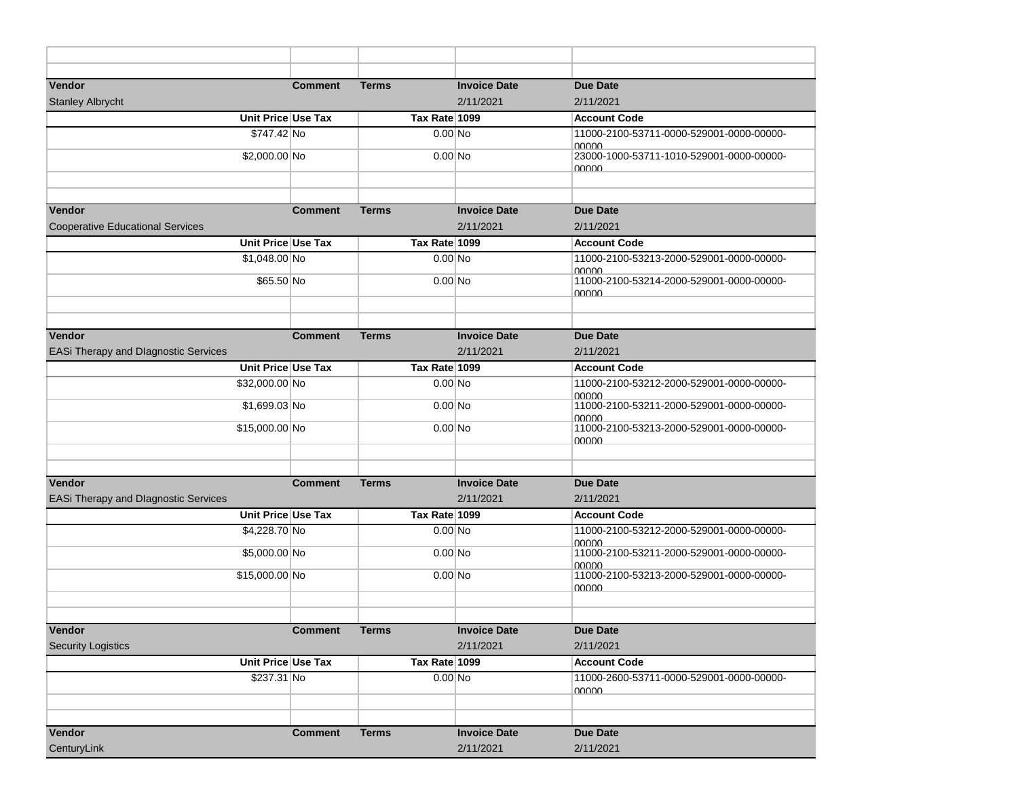| Vendor                                  | <b>Comment</b>     | <b>Terms</b>  | <b>Invoice Date</b> | <b>Due Date</b>                                            |
|-----------------------------------------|--------------------|---------------|---------------------|------------------------------------------------------------|
| <b>Stanley Albrycht</b>                 |                    |               | 2/11/2021           | 2/11/2021                                                  |
|                                         | Unit Price Use Tax | Tax Rate 1099 |                     | <b>Account Code</b>                                        |
| \$747.42 No                             |                    | $0.00$ No     |                     | 11000-2100-53711-0000-529001-0000-00000-<br><u> 00000 </u> |
| \$2,000.00 No                           |                    | $0.00$ No     |                     | 23000-1000-53711-1010-529001-0000-00000-                   |
|                                         |                    |               |                     | <u>NUUUU</u>                                               |
|                                         |                    |               |                     |                                                            |
| Vendor                                  | <b>Comment</b>     | <b>Terms</b>  | <b>Invoice Date</b> | <b>Due Date</b>                                            |
| <b>Cooperative Educational Services</b> |                    |               | 2/11/2021           | 2/11/2021                                                  |
|                                         | Unit Price Use Tax | Tax Rate 1099 |                     | <b>Account Code</b>                                        |
| \$1,048.00 No                           |                    | $0.00$ No     |                     | 11000-2100-53213-2000-529001-0000-00000-                   |
| \$65.50 No                              |                    | $0.00$ No     |                     | 00000<br>11000-2100-53214-2000-529001-0000-00000-          |
|                                         |                    |               |                     | <u>NUVUU</u>                                               |
|                                         |                    |               |                     |                                                            |
| Vendor                                  | <b>Comment</b>     | <b>Terms</b>  | <b>Invoice Date</b> | <b>Due Date</b>                                            |
| EASi Therapy and Dlagnostic Services    |                    |               | 2/11/2021           | 2/11/2021                                                  |
|                                         | Unit Price Use Tax | Tax Rate 1099 |                     | <b>Account Code</b>                                        |
| \$32,000.00 No                          |                    | $0.00$ No     |                     | 11000-2100-53212-2000-529001-0000-00000-                   |
| \$1,699.03 No                           |                    | $0.00$ No     |                     | nnnn<br>11000-2100-53211-2000-529001-0000-00000-           |
|                                         |                    |               |                     | <u>NUOU 0</u>                                              |
| \$15,000.00 No                          |                    | $0.00$ No     |                     | 11000-2100-53213-2000-529001-0000-00000-<br><u>NUUUU</u>   |
|                                         |                    |               |                     |                                                            |
|                                         |                    |               |                     |                                                            |
| Vendor                                  | <b>Comment</b>     | <b>Terms</b>  | <b>Invoice Date</b> | <b>Due Date</b>                                            |
| EASi Therapy and Dlagnostic Services    |                    |               | 2/11/2021           | 2/11/2021                                                  |
|                                         | Unit Price Use Tax | Tax Rate 1099 |                     | <b>Account Code</b>                                        |
| \$4,228.70 No                           |                    | $0.00$ No     |                     | 11000-2100-53212-2000-529001-0000-00000-<br>00000          |
| \$5,000.00 No                           |                    | $0.00$ No     |                     | 11000-2100-53211-2000-529001-0000-00000-                   |
| \$15,000.00 No                          |                    | $0.00$ No     |                     | <u>NUVUU</u><br>11000-2100-53213-2000-529001-0000-00000-   |
|                                         |                    |               |                     | <u>00000</u>                                               |
|                                         |                    |               |                     |                                                            |
| Vendor                                  | <b>Comment</b>     | <b>Terms</b>  | <b>Invoice Date</b> | <b>Due Date</b>                                            |
| <b>Security Logistics</b>               |                    |               | 2/11/2021           | 2/11/2021                                                  |
|                                         | Unit Price Use Tax | Tax Rate 1099 |                     | <b>Account Code</b>                                        |
| \$237.31 No                             |                    | $0.00$ No     |                     | 11000-2600-53711-0000-529001-0000-00000-                   |
|                                         |                    |               |                     | <u>00000 </u>                                              |
|                                         |                    |               |                     |                                                            |
| Vendor                                  | <b>Comment</b>     | <b>Terms</b>  | <b>Invoice Date</b> | Due Date                                                   |
| CenturyLink                             |                    |               | 2/11/2021           | 2/11/2021                                                  |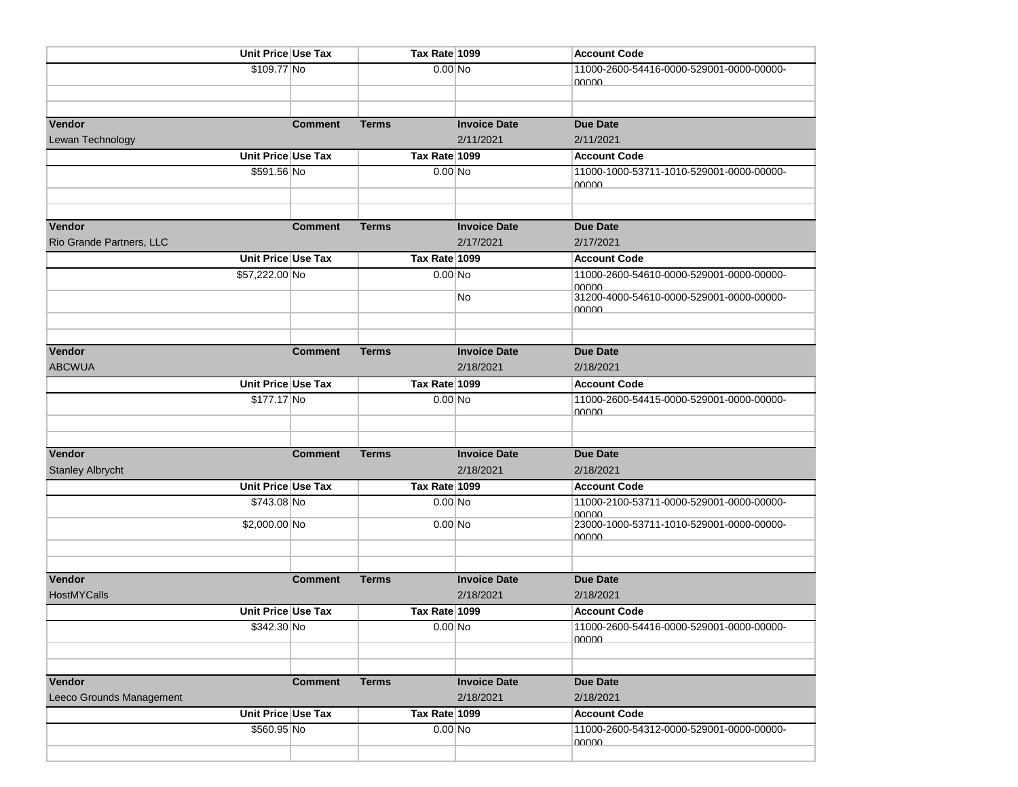|                          | Unit Price Use Tax |                | Tax Rate 1099               |                     | <b>Account Code</b>                                      |
|--------------------------|--------------------|----------------|-----------------------------|---------------------|----------------------------------------------------------|
|                          | \$109.77 No        |                | $0.00$ No                   |                     | 11000-2600-54416-0000-529001-0000-00000-                 |
|                          |                    |                |                             |                     | <u>NUVOU</u>                                             |
|                          |                    |                |                             |                     |                                                          |
| Vendor                   |                    | <b>Comment</b> | Terms                       | <b>Invoice Date</b> | <b>Due Date</b>                                          |
| Lewan Technology         |                    |                |                             | 2/11/2021           | 2/11/2021                                                |
|                          | Unit Price Use Tax |                | Tax Rate 1099               |                     | <b>Account Code</b>                                      |
|                          | \$591.56 No        |                | $0.00 \overline{\text{No}}$ |                     | 11000-1000-53711-1010-529001-0000-00000-                 |
|                          |                    |                |                             |                     | <u>NUVUU</u>                                             |
|                          |                    |                |                             |                     |                                                          |
|                          |                    |                |                             |                     |                                                          |
| Vendor                   |                    | <b>Comment</b> | <b>Terms</b>                | <b>Invoice Date</b> | <b>Due Date</b>                                          |
| Rio Grande Partners, LLC |                    |                |                             | 2/17/2021           | 2/17/2021                                                |
|                          | Unit Price Use Tax |                | Tax Rate 1099               |                     | <b>Account Code</b>                                      |
|                          | \$57,222.00 No     |                | $0.00$ No                   |                     | 11000-2600-54610-0000-529001-0000-00000-                 |
|                          |                    |                |                             | No                  | <u>NUVUU</u><br>31200-4000-54610-0000-529001-0000-00000- |
|                          |                    |                |                             |                     | <u>NUUUU</u>                                             |
|                          |                    |                |                             |                     |                                                          |
|                          |                    |                |                             |                     |                                                          |
| Vendor                   |                    | <b>Comment</b> | <b>Terms</b>                | <b>Invoice Date</b> | <b>Due Date</b>                                          |
| <b>ABCWUA</b>            |                    |                |                             | 2/18/2021           | 2/18/2021                                                |
|                          | Unit Price Use Tax |                | Tax Rate 1099               |                     | <b>Account Code</b>                                      |
|                          | \$177.17 No        |                | $0.00$ No                   |                     | 11000-2600-54415-0000-529001-0000-00000-<br><u>NUVUU</u> |
|                          |                    |                |                             |                     |                                                          |
|                          |                    |                |                             |                     |                                                          |
| Vendor                   |                    | <b>Comment</b> | <b>Terms</b>                | <b>Invoice Date</b> | <b>Due Date</b>                                          |
| <b>Stanley Albrycht</b>  |                    |                |                             | 2/18/2021           | 2/18/2021                                                |
|                          | Unit Price Use Tax |                | Tax Rate 1099               |                     | <b>Account Code</b>                                      |
|                          | \$743.08 No        |                | $0.00$ No                   |                     | 11000-2100-53711-0000-529001-0000-00000-                 |
|                          | \$2,000.00 No      |                | $0.00$ No                   |                     | <u>NUVUU</u><br>23000-1000-53711-1010-529001-0000-00000- |
|                          |                    |                |                             |                     | 00000                                                    |
|                          |                    |                |                             |                     |                                                          |
|                          |                    |                |                             |                     |                                                          |
| Vendor                   |                    | <b>Comment</b> | <b>Terms</b>                | <b>Invoice Date</b> | <b>Due Date</b>                                          |
| <b>HostMYCalls</b>       |                    |                |                             | 2/18/2021           | 2/18/2021                                                |
|                          | Unit Price Use Tax |                | Tax Rate 1099               |                     | <b>Account Code</b>                                      |
|                          | \$342.30 No        |                | $0.00$ No                   |                     | 11000-2600-54416-0000-529001-0000-00000-                 |
|                          |                    |                |                             |                     | nuuu                                                     |
|                          |                    |                |                             |                     |                                                          |
| Vendor                   |                    | <b>Comment</b> | <b>Terms</b>                | <b>Invoice Date</b> | <b>Due Date</b>                                          |
| Leeco Grounds Management |                    |                |                             | 2/18/2021           | 2/18/2021                                                |
|                          | Unit Price Use Tax |                | Tax Rate 1099               |                     | <b>Account Code</b>                                      |
|                          | \$560.95 No        |                | $0.00$ No                   |                     | 11000-2600-54312-0000-529001-0000-00000-                 |
|                          |                    |                |                             |                     | <u>NUUU </u>                                             |
|                          |                    |                |                             |                     |                                                          |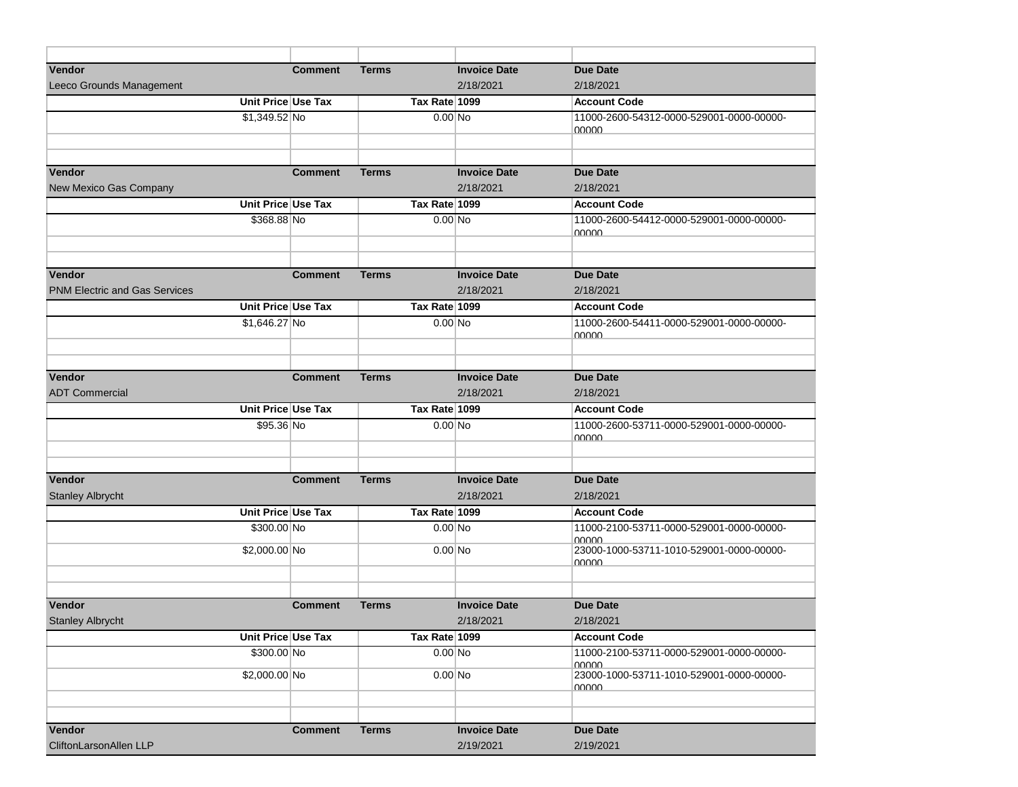| Vendor                               |                    | <b>Comment</b> | <b>Terms</b>  | <b>Invoice Date</b>              | <b>Due Date</b>                                   |
|--------------------------------------|--------------------|----------------|---------------|----------------------------------|---------------------------------------------------|
| Leeco Grounds Management             |                    |                |               | 2/18/2021                        | 2/18/2021                                         |
|                                      | Unit Price Use Tax |                | Tax Rate 1099 |                                  | <b>Account Code</b>                               |
|                                      | $$1,349.52$ No     |                | $0.00$ No     |                                  | 11000-2600-54312-0000-529001-0000-00000-          |
|                                      |                    |                |               |                                  | nnnnn                                             |
|                                      |                    |                |               |                                  |                                                   |
|                                      |                    |                |               |                                  |                                                   |
| Vendor                               |                    | <b>Comment</b> | <b>Terms</b>  | <b>Invoice Date</b>              | <b>Due Date</b>                                   |
| New Mexico Gas Company               |                    |                |               | 2/18/2021                        | 2/18/2021                                         |
|                                      | Unit Price Use Tax |                | Tax Rate 1099 |                                  | <b>Account Code</b>                               |
|                                      | \$368,88 No        |                | $0.00$ No     |                                  | 11000-2600-54412-0000-529001-0000-00000-<br>nnnnn |
|                                      |                    |                |               |                                  |                                                   |
|                                      |                    |                |               |                                  |                                                   |
| Vendor                               |                    | <b>Comment</b> | Terms         | <b>Invoice Date</b>              | <b>Due Date</b>                                   |
| <b>PNM Electric and Gas Services</b> |                    |                |               | 2/18/2021                        | 2/18/2021                                         |
|                                      | Unit Price Use Tax |                | Tax Rate 1099 |                                  | <b>Account Code</b>                               |
|                                      | \$1,646.27 No      |                | $0.00$ No     |                                  | 11000-2600-54411-0000-529001-0000-00000-          |
|                                      |                    |                |               |                                  | 00000                                             |
|                                      |                    |                |               |                                  |                                                   |
| Vendor                               |                    | <b>Comment</b> | <b>Terms</b>  | <b>Invoice Date</b>              | <b>Due Date</b>                                   |
| <b>ADT Commercial</b>                |                    |                |               | 2/18/2021                        | 2/18/2021                                         |
|                                      | Unit Price Use Tax |                | Tax Rate 1099 |                                  | <b>Account Code</b>                               |
|                                      | \$95.36 No         |                | $0.00$ No     |                                  | 11000-2600-53711-0000-529001-0000-00000-          |
|                                      |                    |                |               |                                  | 00000                                             |
|                                      |                    |                |               |                                  |                                                   |
|                                      |                    |                |               |                                  |                                                   |
| Vendor                               |                    | <b>Comment</b> | <b>Terms</b>  | <b>Invoice Date</b><br>2/18/2021 | <b>Due Date</b><br>2/18/2021                      |
| <b>Stanley Albrycht</b>              | Unit Price Use Tax |                | Tax Rate 1099 |                                  |                                                   |
|                                      |                    |                |               |                                  | <b>Account Code</b>                               |
|                                      | \$300.00 No        |                | $0.00$ No     |                                  | 11000-2100-53711-0000-529001-0000-00000-<br>00000 |
|                                      | \$2,000.00 No      |                | $0.00$ No     |                                  | 23000-1000-53711-1010-529001-0000-00000-          |
|                                      |                    |                |               |                                  | nnnnn                                             |
|                                      |                    |                |               |                                  |                                                   |
| <b>Vendor</b>                        |                    | <b>Comment</b> | <b>Terms</b>  | <b>Invoice Date</b>              | <b>Due Date</b>                                   |
| <b>Stanley Albrycht</b>              |                    |                |               | 2/18/2021                        | 2/18/2021                                         |
|                                      | Unit Price Use Tax |                | Tax Rate 1099 |                                  | <b>Account Code</b>                               |
|                                      | \$300.00 No        |                | $0.00$ No     |                                  | 11000-2100-53711-0000-529001-0000-00000-          |
|                                      |                    |                |               |                                  | 00000                                             |
|                                      | \$2,000.00 No      |                | $0.00$ No     |                                  | 23000-1000-53711-1010-529001-0000-00000-<br>nnnn  |
|                                      |                    |                |               |                                  |                                                   |
|                                      |                    |                |               |                                  |                                                   |
| Vendor                               |                    | <b>Comment</b> | <b>Terms</b>  | <b>Invoice Date</b>              | <b>Due Date</b>                                   |
| CliftonLarsonAllen LLP               |                    |                |               | 2/19/2021                        | 2/19/2021                                         |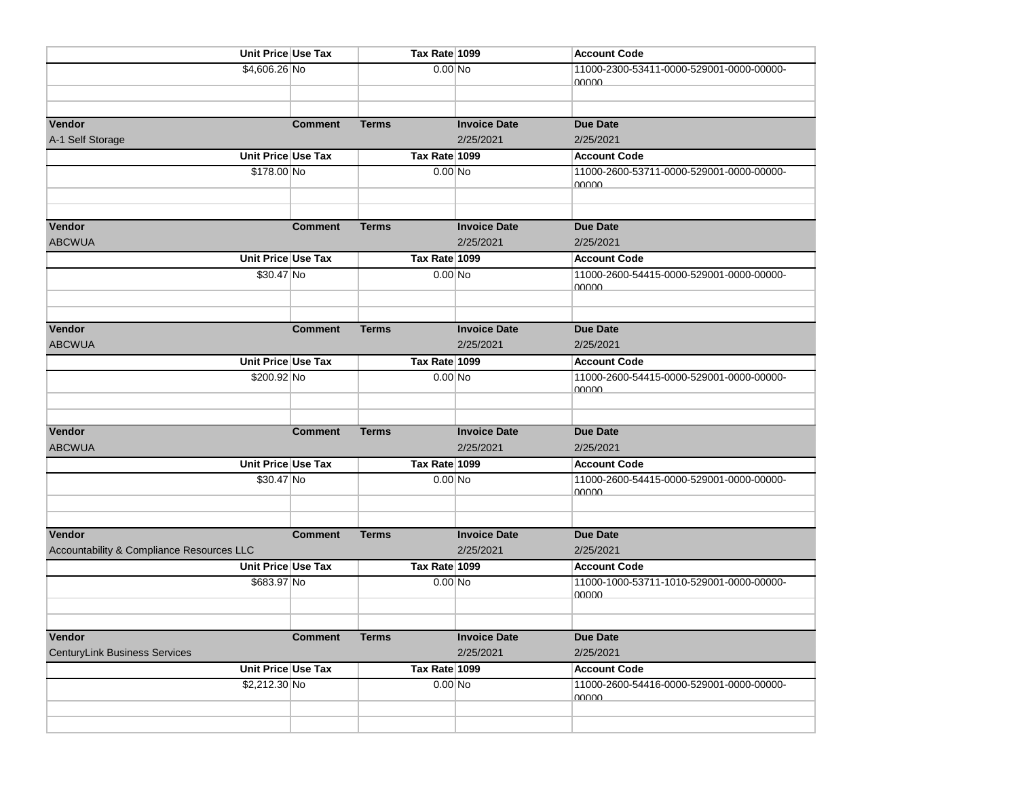| Unit Price Use Tax                        |                | Tax Rate 1099              |                     | <b>Account Code</b>                                             |
|-------------------------------------------|----------------|----------------------------|---------------------|-----------------------------------------------------------------|
| \$4,606.26 No                             |                | $0.00$ No                  |                     | 11000-2300-53411-0000-529001-0000-00000-                        |
|                                           |                |                            |                     | <u>NUUUU</u>                                                    |
|                                           |                |                            |                     |                                                                 |
| Vendor                                    | <b>Comment</b> | <b>Terms</b>               | <b>Invoice Date</b> | <b>Due Date</b>                                                 |
| A-1 Self Storage                          |                |                            | 2/25/2021           | 2/25/2021                                                       |
| Unit Price Use Tax                        |                | Tax Rate 1099              |                     | <b>Account Code</b>                                             |
| \$178.00 No                               |                | 0.00 No                    |                     | 11000-2600-53711-0000-529001-0000-00000-                        |
|                                           |                |                            |                     | <u>NUUUU</u>                                                    |
|                                           |                |                            |                     |                                                                 |
| Vendor                                    | <b>Comment</b> | <b>Terms</b>               | <b>Invoice Date</b> | <b>Due Date</b>                                                 |
| <b>ABCWUA</b>                             |                |                            | 2/25/2021           | 2/25/2021                                                       |
| Unit Price Use Tax                        |                | Tax Rate 1099              |                     | <b>Account Code</b>                                             |
| \$30.47 No                                |                | $0.00$ No                  |                     | 11000-2600-54415-0000-529001-0000-00000-                        |
|                                           |                |                            |                     | <u>NUVUU</u>                                                    |
|                                           |                |                            |                     |                                                                 |
| Vendor                                    | <b>Comment</b> | <b>Terms</b>               | <b>Invoice Date</b> | <b>Due Date</b>                                                 |
| <b>ABCWUA</b>                             |                |                            | 2/25/2021           | 2/25/2021                                                       |
| Unit Price Use Tax                        |                | Tax Rate 1099              |                     | <b>Account Code</b>                                             |
| \$200.92 No                               |                | $0.00$ No                  |                     | 11000-2600-54415-0000-529001-0000-00000-                        |
|                                           |                |                            |                     | <u>NUUUU</u>                                                    |
|                                           |                |                            |                     |                                                                 |
| Vendor                                    | <b>Comment</b> | <b>Terms</b>               | <b>Invoice Date</b> | <b>Due Date</b>                                                 |
| <b>ABCWUA</b>                             |                |                            | 2/25/2021           | 2/25/2021                                                       |
| Unit Price Use Tax                        |                | Tax Rate 1099              |                     | <b>Account Code</b>                                             |
| \$30.47 No                                |                | $0.00$ No                  |                     | 11000-2600-54415-0000-529001-0000-00000-                        |
|                                           |                |                            |                     | <u>NUUUU</u>                                                    |
|                                           |                |                            |                     |                                                                 |
| Vendor                                    |                |                            | <b>Invoice Date</b> |                                                                 |
| Accountability & Compliance Resources LLC | <b>Comment</b> | <b>Terms</b>               | 2/25/2021           | <b>Due Date</b><br>2/25/2021                                    |
| Unit Price Use Tax                        |                | Tax Rate 1099              |                     | <b>Account Code</b>                                             |
| \$683.97 No                               |                | $0.00$ No                  |                     | 11000-1000-53711-1010-529001-0000-00000-                        |
|                                           |                |                            |                     | <u>NUUUU</u>                                                    |
|                                           |                |                            |                     |                                                                 |
|                                           |                |                            |                     |                                                                 |
| Vendor                                    | <b>Comment</b> | Terms                      | <b>Invoice Date</b> | <b>Due Date</b>                                                 |
| <b>CenturyLink Business Services</b>      |                |                            | 2/25/2021           | 2/25/2021                                                       |
| Unit Price Use Tax<br>\$2,212.30 No       |                | Tax Rate 1099<br>$0.00$ No |                     | <b>Account Code</b><br>11000-2600-54416-0000-529001-0000-00000- |
|                                           |                |                            |                     | <u>NUUUU</u>                                                    |
|                                           |                |                            |                     |                                                                 |
|                                           |                |                            |                     |                                                                 |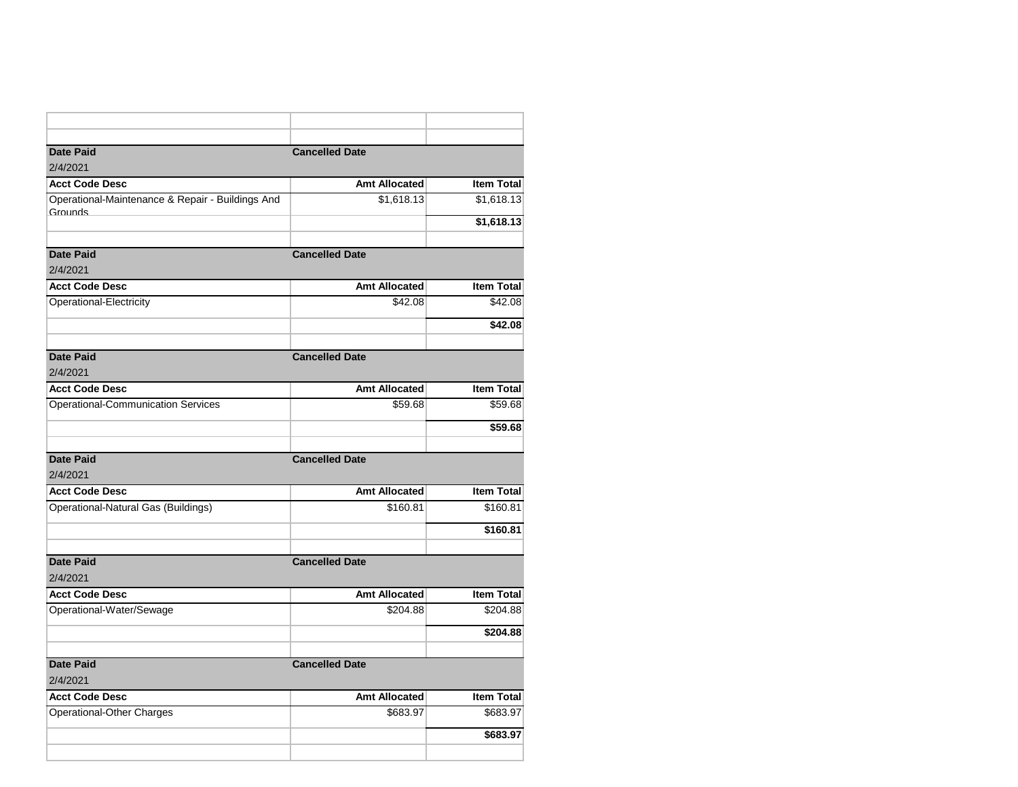| <b>Date Paid</b>                                 | <b>Cancelled Date</b> |                   |
|--------------------------------------------------|-----------------------|-------------------|
| 2/4/2021                                         |                       |                   |
| <b>Acct Code Desc</b>                            | <b>Amt Allocated</b>  | <b>Item Total</b> |
| Operational-Maintenance & Repair - Buildings And | \$1,618.13            | \$1,618.13        |
| Grounds                                          |                       | \$1,618.13        |
|                                                  |                       |                   |
| <b>Date Paid</b>                                 | <b>Cancelled Date</b> |                   |
| 2/4/2021                                         |                       |                   |
| <b>Acct Code Desc</b>                            | <b>Amt Allocated</b>  | <b>Item Total</b> |
| Operational-Electricity                          | \$42.08               | \$42.08           |
|                                                  |                       | \$42.08           |
|                                                  |                       |                   |
| <b>Date Paid</b>                                 | <b>Cancelled Date</b> |                   |
| 2/4/2021                                         |                       |                   |
| <b>Acct Code Desc</b>                            | <b>Amt Allocated</b>  | <b>Item Total</b> |
| <b>Operational-Communication Services</b>        | \$59.68               | \$59.68           |
|                                                  |                       | \$59.68           |
|                                                  |                       |                   |
| <b>Date Paid</b>                                 | <b>Cancelled Date</b> |                   |
| 2/4/2021                                         |                       |                   |
| <b>Acct Code Desc</b>                            | <b>Amt Allocated</b>  | <b>Item Total</b> |
| Operational-Natural Gas (Buildings)              | \$160.81              | \$160.81          |
|                                                  |                       | \$160.81          |
| <b>Date Paid</b>                                 | <b>Cancelled Date</b> |                   |
| 2/4/2021                                         |                       |                   |
| <b>Acct Code Desc</b>                            | Amt Allocated         | <b>Item Total</b> |
| Operational-Water/Sewage                         | \$204.88              | \$204.88          |
|                                                  |                       | \$204.88          |
|                                                  |                       |                   |
| <b>Date Paid</b>                                 | <b>Cancelled Date</b> |                   |
| 2/4/2021                                         |                       |                   |
| <b>Acct Code Desc</b>                            | <b>Amt Allocated</b>  | <b>Item Total</b> |
| Operational-Other Charges                        | \$683.97              | \$683.97          |
|                                                  |                       | \$683.97          |
|                                                  |                       |                   |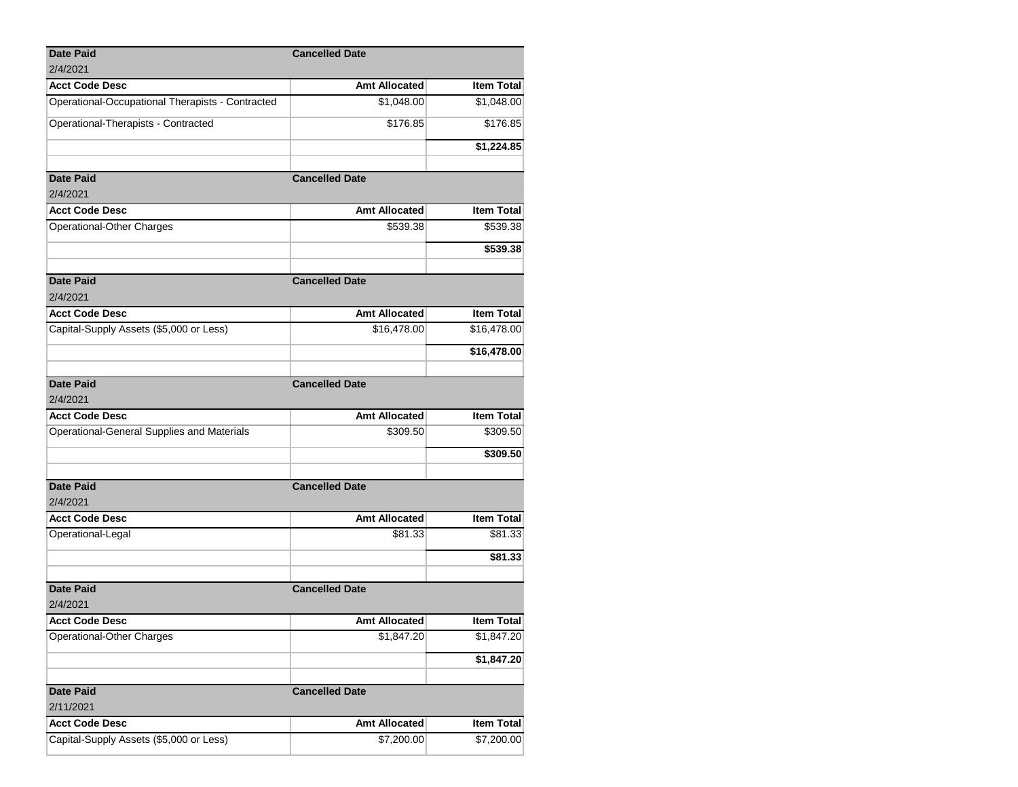| <b>Date Paid</b>                                 | <b>Cancelled Date</b> |                   |
|--------------------------------------------------|-----------------------|-------------------|
| 2/4/2021                                         |                       |                   |
| <b>Acct Code Desc</b>                            | <b>Amt Allocated</b>  | <b>Item Total</b> |
| Operational-Occupational Therapists - Contracted | \$1,048.00            | \$1,048.00        |
| Operational-Therapists - Contracted              | \$176.85              | \$176.85          |
|                                                  |                       | \$1,224.85        |
| <b>Date Paid</b>                                 | <b>Cancelled Date</b> |                   |
| 2/4/2021                                         |                       |                   |
| <b>Acct Code Desc</b>                            | <b>Amt Allocated</b>  | Item Total        |
| Operational-Other Charges                        | \$539.38              | \$539.38          |
|                                                  |                       | \$539.38          |
|                                                  |                       |                   |
| <b>Date Paid</b><br>2/4/2021                     | <b>Cancelled Date</b> |                   |
| <b>Acct Code Desc</b>                            | <b>Amt Allocated</b>  | <b>Item Total</b> |
| Capital-Supply Assets (\$5,000 or Less)          | \$16,478.00           | \$16,478.00       |
|                                                  |                       |                   |
|                                                  |                       | \$16,478.00       |
| <b>Date Paid</b>                                 | <b>Cancelled Date</b> |                   |
| 2/4/2021                                         |                       |                   |
| <b>Acct Code Desc</b>                            | <b>Amt Allocated</b>  | Item Total        |
| Operational-General Supplies and Materials       | \$309.50              | \$309.50          |
|                                                  |                       | \$309.50          |
|                                                  |                       |                   |
| <b>Date Paid</b>                                 | <b>Cancelled Date</b> |                   |
| 2/4/2021                                         |                       |                   |
| <b>Acct Code Desc</b>                            | <b>Amt Allocated</b>  | <b>Item Total</b> |
| Operational-Legal                                | \$81.33               | \$81.33           |
|                                                  |                       | \$81.33           |
| <b>Date Paid</b>                                 | <b>Cancelled Date</b> |                   |
| 2/4/2021                                         |                       |                   |
| <b>Acct Code Desc</b>                            | Amt Allocated         | Item Total        |
| <b>Operational-Other Charges</b>                 | \$1,847.20            | \$1,847.20        |
|                                                  |                       | \$1,847.20        |
|                                                  |                       |                   |
| <b>Date Paid</b>                                 | <b>Cancelled Date</b> |                   |
| 2/11/2021                                        |                       |                   |
| <b>Acct Code Desc</b>                            | <b>Amt Allocated</b>  | Item Total        |
| Capital-Supply Assets (\$5,000 or Less)          | \$7,200.00            | \$7,200.00        |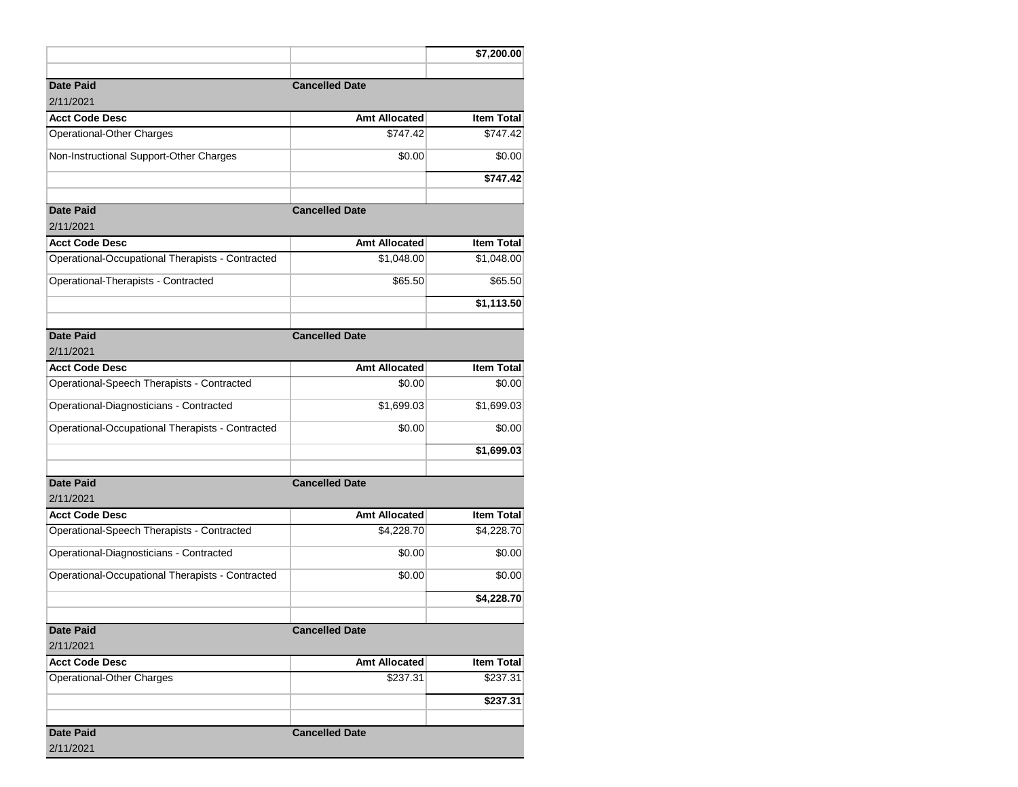|                                                  |                       | \$7,200.00        |
|--------------------------------------------------|-----------------------|-------------------|
| <b>Date Paid</b><br>2/11/2021                    | <b>Cancelled Date</b> |                   |
| <b>Acct Code Desc</b>                            | <b>Amt Allocated</b>  | <b>Item Total</b> |
| Operational-Other Charges                        | \$747.42              | \$747.42          |
| Non-Instructional Support-Other Charges          | \$0.00                | \$0.00            |
|                                                  |                       | \$747.42          |
| <b>Date Paid</b>                                 | <b>Cancelled Date</b> |                   |
| 2/11/2021                                        |                       |                   |
| <b>Acct Code Desc</b>                            | <b>Amt Allocated</b>  | Item Total        |
| Operational-Occupational Therapists - Contracted | \$1,048.00            | \$1,048.00        |
| Operational-Therapists - Contracted              | \$65.50               | \$65.50           |
|                                                  |                       | \$1,113.50        |
| <b>Date Paid</b>                                 | <b>Cancelled Date</b> |                   |
| 2/11/2021                                        |                       |                   |
| <b>Acct Code Desc</b>                            | <b>Amt Allocated</b>  | <b>Item Total</b> |
| Operational-Speech Therapists - Contracted       | \$0.00                | \$0.00            |
| Operational-Diagnosticians - Contracted          | \$1,699.03            | \$1,699.03        |
| Operational-Occupational Therapists - Contracted | \$0.00                | \$0.00            |
|                                                  |                       | \$1,699.03        |
| <b>Date Paid</b><br>2/11/2021                    | <b>Cancelled Date</b> |                   |
| <b>Acct Code Desc</b>                            | <b>Amt Allocated</b>  | <b>Item Total</b> |
| Operational-Speech Therapists - Contracted       | \$4,228.70            | \$4,228.70        |
| Operational-Diagnosticians - Contracted          | \$0.00                | \$0.00            |
| Operational-Occupational Therapists - Contracted | \$0.00                | \$0.00            |
|                                                  |                       | \$4,228.70        |
| <b>Date Paid</b><br>2/11/2021                    | <b>Cancelled Date</b> |                   |
| <b>Acct Code Desc</b>                            | <b>Amt Allocated</b>  | <b>Item Total</b> |
| Operational-Other Charges                        | \$237.31              | \$237.31          |
|                                                  |                       | \$237.31          |
| <b>Date Paid</b>                                 | <b>Cancelled Date</b> |                   |
| 2/11/2021                                        |                       |                   |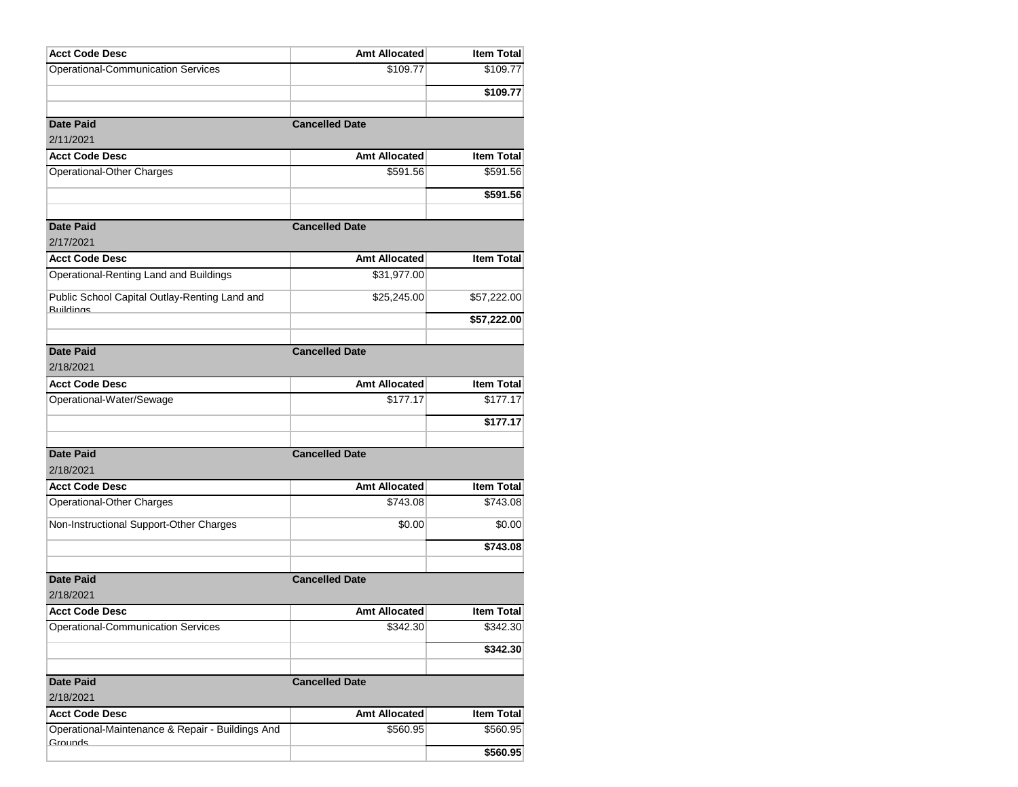| <b>Operational-Communication Services</b><br>\$109.77<br>\$109.77<br>\$109.77<br><b>Date Paid</b><br><b>Cancelled Date</b><br>2/11/2021<br><b>Acct Code Desc</b><br><b>Amt Allocated</b><br><b>Item Total</b><br>Operational-Other Charges<br>\$591.56<br>\$591.56<br>\$591.56<br><b>Date Paid</b><br><b>Cancelled Date</b><br>2/17/2021<br><b>Amt Allocated</b><br><b>Item Total</b><br><b>Acct Code Desc</b><br>Operational-Renting Land and Buildings<br>\$31,977.00<br>Public School Capital Outlay-Renting Land and<br>\$57,222.00<br>\$25,245.00<br><b>Ruildings</b><br>\$57,222.00<br><b>Date Paid</b><br><b>Cancelled Date</b><br>2/18/2021<br><b>Acct Code Desc</b><br><b>Amt Allocated</b><br><b>Item Total</b><br>Operational-Water/Sewage<br>\$177.17<br>\$177.17<br>\$177.17<br><b>Date Paid</b><br><b>Cancelled Date</b> |
|----------------------------------------------------------------------------------------------------------------------------------------------------------------------------------------------------------------------------------------------------------------------------------------------------------------------------------------------------------------------------------------------------------------------------------------------------------------------------------------------------------------------------------------------------------------------------------------------------------------------------------------------------------------------------------------------------------------------------------------------------------------------------------------------------------------------------------------|
|                                                                                                                                                                                                                                                                                                                                                                                                                                                                                                                                                                                                                                                                                                                                                                                                                                        |
|                                                                                                                                                                                                                                                                                                                                                                                                                                                                                                                                                                                                                                                                                                                                                                                                                                        |
|                                                                                                                                                                                                                                                                                                                                                                                                                                                                                                                                                                                                                                                                                                                                                                                                                                        |
|                                                                                                                                                                                                                                                                                                                                                                                                                                                                                                                                                                                                                                                                                                                                                                                                                                        |
|                                                                                                                                                                                                                                                                                                                                                                                                                                                                                                                                                                                                                                                                                                                                                                                                                                        |
|                                                                                                                                                                                                                                                                                                                                                                                                                                                                                                                                                                                                                                                                                                                                                                                                                                        |
|                                                                                                                                                                                                                                                                                                                                                                                                                                                                                                                                                                                                                                                                                                                                                                                                                                        |
|                                                                                                                                                                                                                                                                                                                                                                                                                                                                                                                                                                                                                                                                                                                                                                                                                                        |
|                                                                                                                                                                                                                                                                                                                                                                                                                                                                                                                                                                                                                                                                                                                                                                                                                                        |
|                                                                                                                                                                                                                                                                                                                                                                                                                                                                                                                                                                                                                                                                                                                                                                                                                                        |
|                                                                                                                                                                                                                                                                                                                                                                                                                                                                                                                                                                                                                                                                                                                                                                                                                                        |
|                                                                                                                                                                                                                                                                                                                                                                                                                                                                                                                                                                                                                                                                                                                                                                                                                                        |
|                                                                                                                                                                                                                                                                                                                                                                                                                                                                                                                                                                                                                                                                                                                                                                                                                                        |
|                                                                                                                                                                                                                                                                                                                                                                                                                                                                                                                                                                                                                                                                                                                                                                                                                                        |
|                                                                                                                                                                                                                                                                                                                                                                                                                                                                                                                                                                                                                                                                                                                                                                                                                                        |
|                                                                                                                                                                                                                                                                                                                                                                                                                                                                                                                                                                                                                                                                                                                                                                                                                                        |
|                                                                                                                                                                                                                                                                                                                                                                                                                                                                                                                                                                                                                                                                                                                                                                                                                                        |
|                                                                                                                                                                                                                                                                                                                                                                                                                                                                                                                                                                                                                                                                                                                                                                                                                                        |
|                                                                                                                                                                                                                                                                                                                                                                                                                                                                                                                                                                                                                                                                                                                                                                                                                                        |
|                                                                                                                                                                                                                                                                                                                                                                                                                                                                                                                                                                                                                                                                                                                                                                                                                                        |
|                                                                                                                                                                                                                                                                                                                                                                                                                                                                                                                                                                                                                                                                                                                                                                                                                                        |
|                                                                                                                                                                                                                                                                                                                                                                                                                                                                                                                                                                                                                                                                                                                                                                                                                                        |
|                                                                                                                                                                                                                                                                                                                                                                                                                                                                                                                                                                                                                                                                                                                                                                                                                                        |
| 2/18/2021                                                                                                                                                                                                                                                                                                                                                                                                                                                                                                                                                                                                                                                                                                                                                                                                                              |
| <b>Acct Code Desc</b><br><b>Amt Allocated</b><br><b>Item Total</b>                                                                                                                                                                                                                                                                                                                                                                                                                                                                                                                                                                                                                                                                                                                                                                     |
| \$743.08<br>Operational-Other Charges<br>\$743.08                                                                                                                                                                                                                                                                                                                                                                                                                                                                                                                                                                                                                                                                                                                                                                                      |
| Non-Instructional Support-Other Charges<br>\$0.00<br>\$0.00                                                                                                                                                                                                                                                                                                                                                                                                                                                                                                                                                                                                                                                                                                                                                                            |
|                                                                                                                                                                                                                                                                                                                                                                                                                                                                                                                                                                                                                                                                                                                                                                                                                                        |
| \$743.08                                                                                                                                                                                                                                                                                                                                                                                                                                                                                                                                                                                                                                                                                                                                                                                                                               |
| <b>Date Paid</b><br><b>Cancelled Date</b>                                                                                                                                                                                                                                                                                                                                                                                                                                                                                                                                                                                                                                                                                                                                                                                              |
| 2/18/2021                                                                                                                                                                                                                                                                                                                                                                                                                                                                                                                                                                                                                                                                                                                                                                                                                              |
| <b>Item Total</b><br><b>Acct Code Desc</b><br><b>Amt Allocated</b>                                                                                                                                                                                                                                                                                                                                                                                                                                                                                                                                                                                                                                                                                                                                                                     |
| \$342.30<br><b>Operational-Communication Services</b><br>\$342.30                                                                                                                                                                                                                                                                                                                                                                                                                                                                                                                                                                                                                                                                                                                                                                      |
|                                                                                                                                                                                                                                                                                                                                                                                                                                                                                                                                                                                                                                                                                                                                                                                                                                        |
| \$342.30                                                                                                                                                                                                                                                                                                                                                                                                                                                                                                                                                                                                                                                                                                                                                                                                                               |
| <b>Date Paid</b><br><b>Cancelled Date</b>                                                                                                                                                                                                                                                                                                                                                                                                                                                                                                                                                                                                                                                                                                                                                                                              |
| 2/18/2021                                                                                                                                                                                                                                                                                                                                                                                                                                                                                                                                                                                                                                                                                                                                                                                                                              |
| Item Total<br><b>Acct Code Desc</b><br><b>Amt Allocated</b>                                                                                                                                                                                                                                                                                                                                                                                                                                                                                                                                                                                                                                                                                                                                                                            |
| Operational-Maintenance & Repair - Buildings And<br>\$560.95<br>\$560.95                                                                                                                                                                                                                                                                                                                                                                                                                                                                                                                                                                                                                                                                                                                                                               |
| Grounds<br>\$560.95                                                                                                                                                                                                                                                                                                                                                                                                                                                                                                                                                                                                                                                                                                                                                                                                                    |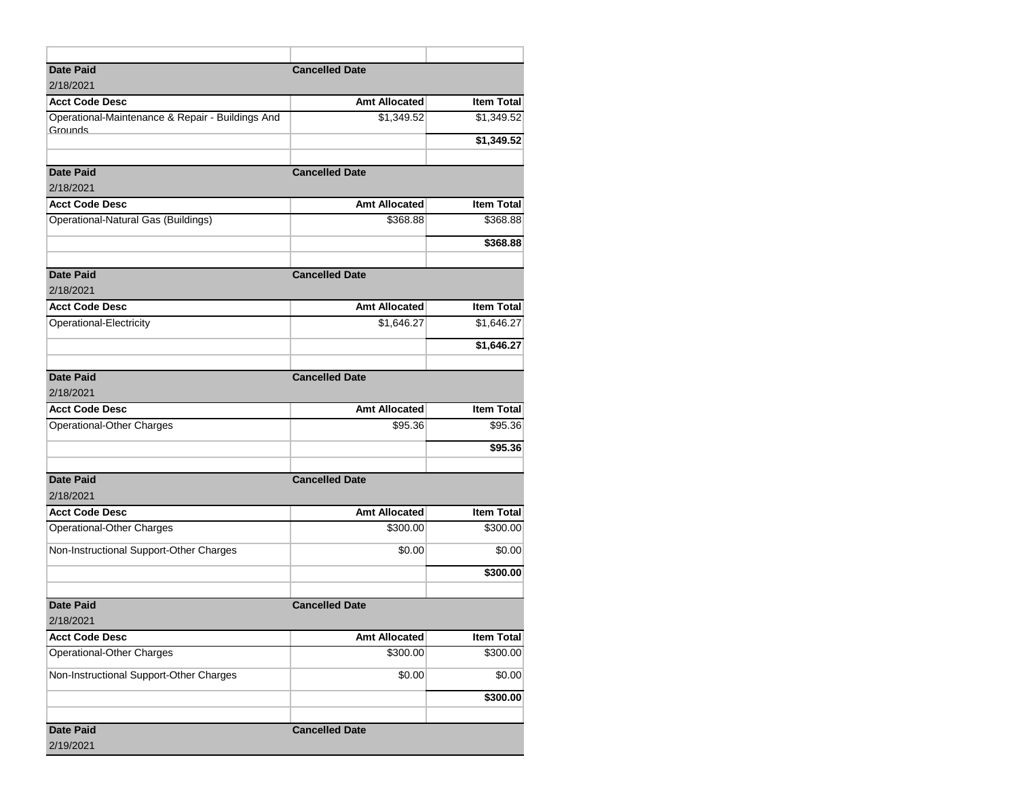| <b>Date Paid</b>                                 | <b>Cancelled Date</b> |                   |
|--------------------------------------------------|-----------------------|-------------------|
| 2/18/2021                                        |                       |                   |
| <b>Acct Code Desc</b>                            | Amt Allocated         | <b>Item Total</b> |
| Operational-Maintenance & Repair - Buildings And | \$1,349.52            | \$1,349.52        |
| Grounds                                          |                       | \$1,349.52        |
|                                                  |                       |                   |
| <b>Date Paid</b>                                 | <b>Cancelled Date</b> |                   |
| 2/18/2021                                        |                       |                   |
| <b>Acct Code Desc</b>                            | <b>Amt Allocated</b>  | <b>Item Total</b> |
| Operational-Natural Gas (Buildings)              | \$368.88              | \$368.88          |
|                                                  |                       | \$368.88          |
| <b>Date Paid</b>                                 | <b>Cancelled Date</b> |                   |
| 2/18/2021                                        |                       |                   |
| <b>Acct Code Desc</b>                            | Amt Allocated         | <b>Item Total</b> |
| Operational-Electricity                          | \$1,646.27            | \$1,646.27        |
|                                                  |                       | \$1,646.27        |
|                                                  |                       |                   |
| <b>Date Paid</b>                                 | <b>Cancelled Date</b> |                   |
| 2/18/2021                                        |                       |                   |
| <b>Acct Code Desc</b>                            | <b>Amt Allocated</b>  | <b>Item Total</b> |
| Operational-Other Charges                        | \$95.36               | \$95.36           |
|                                                  |                       | \$95.36           |
| <b>Date Paid</b>                                 | <b>Cancelled Date</b> |                   |
| 2/18/2021                                        |                       |                   |
| <b>Acct Code Desc</b>                            | <b>Amt Allocated</b>  | <b>Item Total</b> |
| Operational-Other Charges                        | \$300.00              | \$300.00          |
| Non-Instructional Support-Other Charges          | \$0.00                | \$0.00            |
|                                                  |                       | \$300.00          |
|                                                  |                       |                   |
| <b>Date Paid</b>                                 | <b>Cancelled Date</b> |                   |
| 2/18/2021                                        |                       |                   |
| <b>Acct Code Desc</b>                            | Amt Allocated         | <b>Item Total</b> |
| Operational-Other Charges                        | \$300.00              | \$300.00          |
| Non-Instructional Support-Other Charges          | \$0.00                | \$0.00            |
|                                                  |                       | \$300.00          |
| <b>Date Paid</b>                                 | <b>Cancelled Date</b> |                   |
| 2/19/2021                                        |                       |                   |